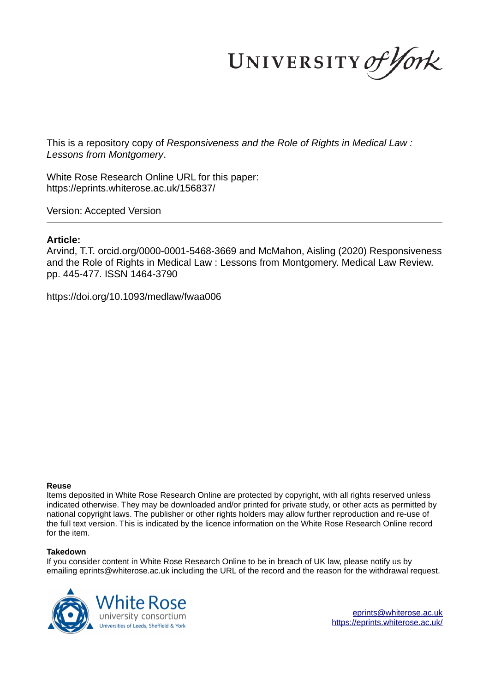UNIVERSITY of York

This is a repository copy of *Responsiveness and the Role of Rights in Medical Law : Lessons from Montgomery*.

White Rose Research Online URL for this paper: https://eprints.whiterose.ac.uk/156837/

Version: Accepted Version

#### **Article:**

Arvind, T.T. orcid.org/0000-0001-5468-3669 and McMahon, Aisling (2020) Responsiveness and the Role of Rights in Medical Law : Lessons from Montgomery. Medical Law Review. pp. 445-477. ISSN 1464-3790

https://doi.org/10.1093/medlaw/fwaa006

#### **Reuse**

Items deposited in White Rose Research Online are protected by copyright, with all rights reserved unless indicated otherwise. They may be downloaded and/or printed for private study, or other acts as permitted by national copyright laws. The publisher or other rights holders may allow further reproduction and re-use of the full text version. This is indicated by the licence information on the White Rose Research Online record for the item.

#### **Takedown**

If you consider content in White Rose Research Online to be in breach of UK law, please notify us by emailing eprints@whiterose.ac.uk including the URL of the record and the reason for the withdrawal request.



eprints@whiterose.ac.uk https://eprints.whiterose.ac.uk/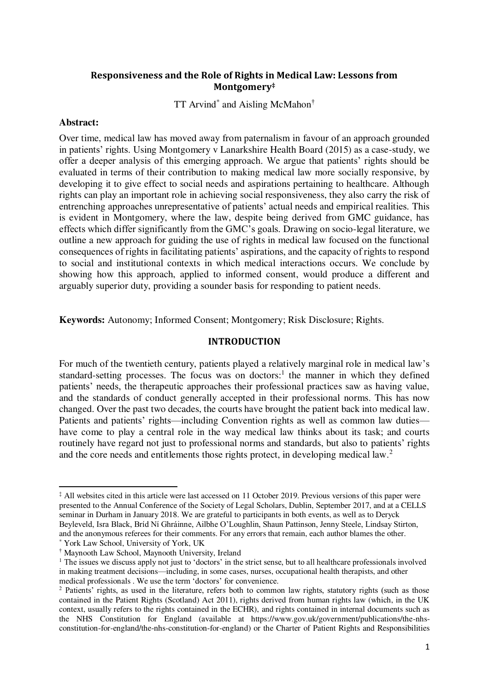#### **Responsiveness and the Role of Rights in Medical Law: Lessons from Montgomery‡**

TT Arvind\* and Aisling McMahon†

#### **Abstract:**

 $\overline{a}$ 

Over time, medical law has moved away from paternalism in favour of an approach grounded in patients' rights. Using Montgomery v Lanarkshire Health Board (2015) as a case-study, we offer a deeper analysis of this emerging approach. We argue that patients' rights should be evaluated in terms of their contribution to making medical law more socially responsive, by developing it to give effect to social needs and aspirations pertaining to healthcare. Although rights can play an important role in achieving social responsiveness, they also carry the risk of entrenching approaches unrepresentative of patients' actual needs and empirical realities. This is evident in Montgomery, where the law, despite being derived from GMC guidance, has effects which differ significantly from the GMC's goals. Drawing on socio-legal literature, we outline a new approach for guiding the use of rights in medical law focused on the functional consequences of rights in facilitating patients' aspirations, and the capacity of rights to respond to social and institutional contexts in which medical interactions occurs. We conclude by showing how this approach, applied to informed consent, would produce a different and arguably superior duty, providing a sounder basis for responding to patient needs.

**Keywords:** Autonomy; Informed Consent; Montgomery; Risk Disclosure; Rights.

#### **INTRODUCTION**

For much of the twentieth century, patients played a relatively marginal role in medical law's standard-setting processes. The focus was on doctors:<sup>1</sup> the manner in which they defined patients' needs, the therapeutic approaches their professional practices saw as having value, and the standards of conduct generally accepted in their professional norms. This has now changed. Over the past two decades, the courts have brought the patient back into medical law. Patients and patients' rights—including Convention rights as well as common law duties have come to play a central role in the way medical law thinks about its task; and courts routinely have regard not just to professional norms and standards, but also to patients' rights and the core needs and entitlements those rights protect, in developing medical law.<sup>2</sup>

<sup>‡</sup> All websites cited in this article were last accessed on 11 October 2019. Previous versions of this paper were presented to the Annual Conference of the Society of Legal Scholars, Dublin, September 2017, and at a CELLS seminar in Durham in January 2018. We are grateful to participants in both events, as well as to Deryck Beyleveld, Isra Black, Bríd Ní Ghráinne, Ailbhe O'Loughlin, Shaun Pattinson, Jenny Steele, Lindsay Stirton, and the anonymous referees for their comments. For any errors that remain, each author blames the other. \* York Law School, University of York, UK

<sup>†</sup> Maynooth Law School, Maynooth University, Ireland

<sup>&</sup>lt;sup>1</sup> The issues we discuss apply not just to 'doctors' in the strict sense, but to all healthcare professionals involved in making treatment decisions—including, in some cases, nurses, occupational health therapists, and other medical professionals . We use the term 'doctors' for convenience.

<sup>&</sup>lt;sup>2</sup> Patients' rights, as used in the literature, refers both to common law rights, statutory rights (such as those contained in the Patient Rights (Scotland) Act 2011), rights derived from human rights law (which, in the UK context, usually refers to the rights contained in the ECHR), and rights contained in internal documents such as the NHS Constitution for England (available at https://www.gov.uk/government/publications/the-nhsconstitution-for-england/the-nhs-constitution-for-england) or the Charter of Patient Rights and Responsibilities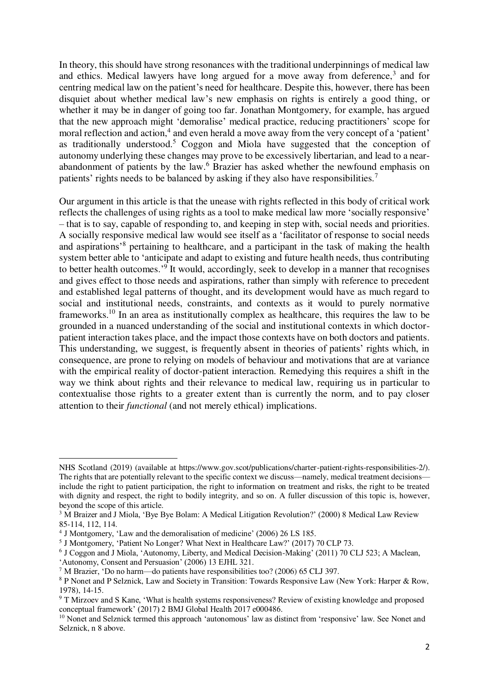In theory, this should have strong resonances with the traditional underpinnings of medical law and ethics. Medical lawyers have long argued for a move away from deference, $3$  and for centring medical law on the patient's need for healthcare. Despite this, however, there has been disquiet about whether medical law's new emphasis on rights is entirely a good thing, or whether it may be in danger of going too far. Jonathan Montgomery, for example, has argued that the new approach might 'demoralise' medical practice, reducing practitioners' scope for moral reflection and action,<sup>4</sup> and even herald a move away from the very concept of a 'patient' as traditionally understood.<sup>5</sup> Coggon and Miola have suggested that the conception of autonomy underlying these changes may prove to be excessively libertarian, and lead to a nearabandonment of patients by the law.<sup>6</sup> Brazier has asked whether the newfound emphasis on patients' rights needs to be balanced by asking if they also have responsibilities.<sup>7</sup>

<span id="page-2-1"></span><span id="page-2-0"></span>Our argument in this article is that the unease with rights reflected in this body of critical work reflects the challenges of using rights as a tool to make medical law more 'socially responsive' – that is to say, capable of responding to, and keeping in step with, social needs and priorities. A socially responsive medical law would see itself as a 'facilitator of response to social needs and aspirations'<sup>8</sup> pertaining to healthcare, and a participant in the task of making the health system better able to 'anticipate and adapt to existing and future health needs, thus contributing to better health outcomes.<sup>'9</sup> It would, accordingly, seek to develop in a manner that recognises and gives effect to those needs and aspirations, rather than simply with reference to precedent and established legal patterns of thought, and its development would have as much regard to social and institutional needs, constraints, and contexts as it would to purely normative frameworks.<sup>10</sup> In an area as institutionally complex as healthcare, this requires the law to be grounded in a nuanced understanding of the social and institutional contexts in which doctorpatient interaction takes place, and the impact those contexts have on both doctors and patients. This understanding, we suggest, is frequently absent in theories of patients' rights which, in consequence, are prone to relying on models of behaviour and motivations that are at variance with the empirical reality of doctor-patient interaction. Remedying this requires a shift in the way we think about rights and their relevance to medical law, requiring us in particular to contextualise those rights to a greater extent than is currently the norm, and to pay closer attention to their *functional* (and not merely ethical) implications.

'Autonomy, Consent and Persuasion' (2006) 13 EJHL 321.

NHS Scotland (2019) (available at https://www.gov.scot/publications/charter-patient-rights-responsibilities-2/). The rights that are potentially relevant to the specific context we discuss—namely, medical treatment decisions include the right to patient participation, the right to information on treatment and risks, the right to be treated with dignity and respect, the right to bodily integrity, and so on. A fuller discussion of this topic is, however, beyond the scope of this article.

<sup>3</sup> M Braizer and J Miola, 'Bye Bye Bolam: A Medical Litigation Revolution?' (2000) 8 Medical Law Review 85-114, 112, 114.

<sup>4</sup> J Montgomery, 'Law and the demoralisation of medicine' (2006) 26 LS 185.

<sup>&</sup>lt;sup>5</sup> J Montgomery, 'Patient No Longer? What Next in Healthcare Law?' (2017) 70 CLP 73.

<sup>&</sup>lt;sup>6</sup> J Coggon and J Miola, 'Autonomy, Liberty, and Medical Decision-Making' (2011) 70 CLJ 523; A Maclean,

<sup>7</sup> M Brazier, 'Do no harm—do patients have responsibilities too? (2006) 65 CLJ 397.

<sup>&</sup>lt;sup>8</sup> P Nonet and P Selznick, Law and Society in Transition: Towards Responsive Law (New York: Harper & Row, 1978), 14-15.

<sup>&</sup>lt;sup>9</sup> T Mirzoev and S Kane, 'What is health systems responsiveness? Review of existing knowledge and proposed conceptual framework' (2017) 2 BMJ Global Health 2017 e000486.

<sup>&</sup>lt;sup>10</sup> Nonet and Selznick termed this approach 'autonomous' law as distinct from 'responsive' law. See Nonet and Selznick, n [8](#page-2-0) above.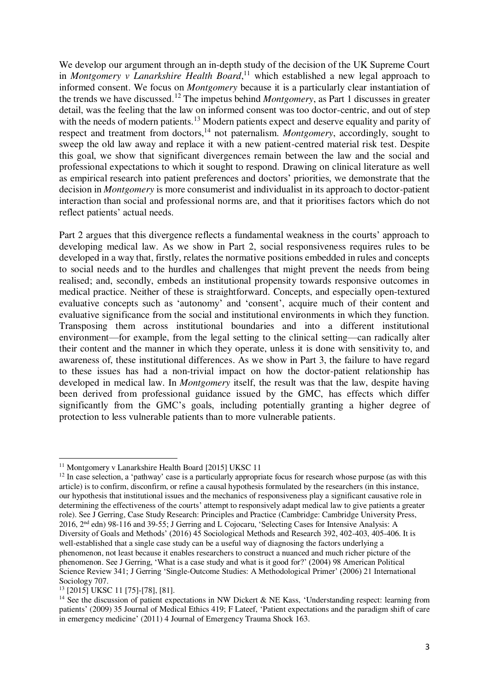<span id="page-3-0"></span>We develop our argument through an in-depth study of the decision of the UK Supreme Court in *Montgomery v Lanarkshire Health Board*, <sup>11</sup> which established a new legal approach to informed consent. We focus on *Montgomery* because it is a particularly clear instantiation of the trends we have discussed.<sup>12</sup> The impetus behind *Montgomery*, as Part 1 discusses in greater detail, was the feeling that the law on informed consent was too doctor-centric, and out of step with the needs of modern patients.<sup>13</sup> Modern patients expect and deserve equality and parity of respect and treatment from doctors,<sup>14</sup> not paternalism. *Montgomery*, accordingly, sought to sweep the old law away and replace it with a new patient-centred material risk test. Despite this goal, we show that significant divergences remain between the law and the social and professional expectations to which it sought to respond. Drawing on clinical literature as well as empirical research into patient preferences and doctors' priorities, we demonstrate that the decision in *Montgomery* is more consumerist and individualist in its approach to doctor-patient interaction than social and professional norms are, and that it prioritises factors which do not reflect patients' actual needs.

Part 2 argues that this divergence reflects a fundamental weakness in the courts' approach to developing medical law. As we show in Part 2, social responsiveness requires rules to be developed in a way that, firstly, relates the normative positions embedded in rules and concepts to social needs and to the hurdles and challenges that might prevent the needs from being realised; and, secondly, embeds an institutional propensity towards responsive outcomes in medical practice. Neither of these is straightforward. Concepts, and especially open-textured evaluative concepts such as 'autonomy' and 'consent', acquire much of their content and evaluative significance from the social and institutional environments in which they function. Transposing them across institutional boundaries and into a different institutional environment—for example, from the legal setting to the clinical setting—can radically alter their content and the manner in which they operate, unless it is done with sensitivity to, and awareness of, these institutional differences. As we show in Part 3, the failure to have regard to these issues has had a non-trivial impact on how the doctor-patient relationship has developed in medical law. In *Montgomery* itself, the result was that the law, despite having been derived from professional guidance issued by the GMC, has effects which differ significantly from the GMC's goals, including potentially granting a higher degree of protection to less vulnerable patients than to more vulnerable patients.

<sup>&</sup>lt;sup>11</sup> Montgomery v Lanarkshire Health Board [2015] UKSC 11

 $12$  In case selection, a 'pathway' case is a particularly appropriate focus for research whose purpose (as with this article) is to confirm, disconfirm, or refine a causal hypothesis formulated by the researchers (in this instance, our hypothesis that institutional issues and the mechanics of responsiveness play a significant causative role in determining the effectiveness of the courts' attempt to responsively adapt medical law to give patients a greater role). See J Gerring, Case Study Research: Principles and Practice (Cambridge: Cambridge University Press, 2016, 2nd edn) 98-116 and 39-55; J Gerring and L Cojocaru, 'Selecting Cases for Intensive Analysis: A Diversity of Goals and Methods' (2016) 45 Sociological Methods and Research 392, 402-403, 405-406. It is well-established that a single case study can be a useful way of diagnosing the factors underlying a phenomenon, not least because it enables researchers to construct a nuanced and much richer picture of the phenomenon. See J Gerring, 'What is a case study and what is it good for?' (2004) 98 American Political Science Review 341; J Gerring 'Single-Outcome Studies: A Methodological Primer' (2006) 21 International Sociology 707.

<sup>13</sup> [2015] UKSC 11 [75]-[78], [81].

<sup>&</sup>lt;sup>14</sup> See the discussion of patient expectations in NW Dickert & NE Kass, 'Understanding respect: learning from patients' (2009) 35 Journal of Medical Ethics 419; F Lateef, 'Patient expectations and the paradigm shift of care in emergency medicine' (2011) 4 Journal of Emergency Trauma Shock 163.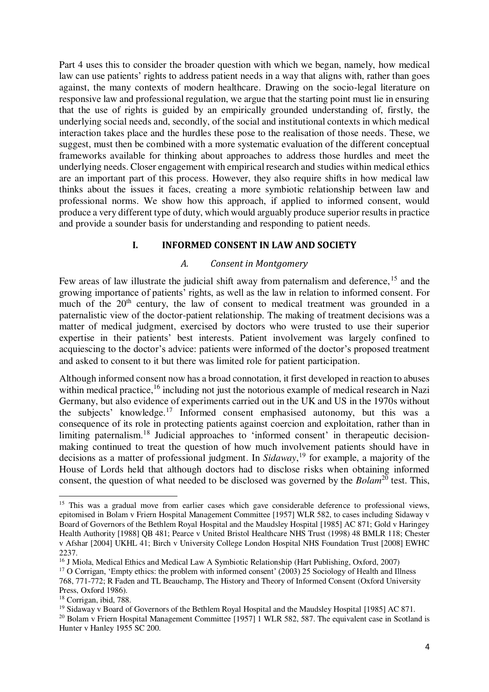Part 4 uses this to consider the broader question with which we began, namely, how medical law can use patients' rights to address patient needs in a way that aligns with, rather than goes against, the many contexts of modern healthcare. Drawing on the socio-legal literature on responsive law and professional regulation, we argue that the starting point must lie in ensuring that the use of rights is guided by an empirically grounded understanding of, firstly, the underlying social needs and, secondly, of the social and institutional contexts in which medical interaction takes place and the hurdles these pose to the realisation of those needs. These, we suggest, must then be combined with a more systematic evaluation of the different conceptual frameworks available for thinking about approaches to address those hurdles and meet the underlying needs. Closer engagement with empirical research and studies within medical ethics are an important part of this process. However, they also require shifts in how medical law thinks about the issues it faces, creating a more symbiotic relationship between law and professional norms. We show how this approach, if applied to informed consent, would produce a very different type of duty, which would arguably produce superior results in practice and provide a sounder basis for understanding and responding to patient needs.

#### **I. INFORMED CONSENT IN LAW AND SOCIETY**

#### *A. Consent in Montgomery*

Few areas of law illustrate the judicial shift away from paternalism and deference, <sup>15</sup> and the growing importance of patients' rights, as well as the law in relation to informed consent. For much of the  $20<sup>th</sup>$  century, the law of consent to medical treatment was grounded in a paternalistic view of the doctor-patient relationship. The making of treatment decisions was a matter of medical judgment, exercised by doctors who were trusted to use their superior expertise in their patients' best interests. Patient involvement was largely confined to acquiescing to the doctor's advice: patients were informed of the doctor's proposed treatment and asked to consent to it but there was limited role for patient participation.

<span id="page-4-1"></span><span id="page-4-0"></span>Although informed consent now has a broad connotation, it first developed in reaction to abuses within medical practice,<sup>16</sup> including not just the notorious example of medical research in Nazi Germany, but also evidence of experiments carried out in the UK and US in the 1970s without the subjects' knowledge.<sup>17</sup> Informed consent emphasised autonomy, but this was a consequence of its role in protecting patients against coercion and exploitation, rather than in limiting paternalism.<sup>18</sup> Judicial approaches to 'informed consent' in therapeutic decisionmaking continued to treat the question of how much involvement patients should have in decisions as a matter of professional judgment. In *Sidaway*, <sup>19</sup> for example, a majority of the House of Lords held that although doctors had to disclose risks when obtaining informed consent, the question of what needed to be disclosed was governed by the *Bolam*<sup>20</sup> test. This,

<sup>&</sup>lt;sup>15</sup> This was a gradual move from earlier cases which gave considerable deference to professional views, epitomised in Bolam v Friern Hospital Management Committee [1957] WLR 582, to cases including Sidaway v Board of Governors of the Bethlem Royal Hospital and the Maudsley Hospital [1985] AC 871; Gold v Haringey Health Authority [1988] QB 481; Pearce v United Bristol Healthcare NHS Trust (1998) 48 BMLR 118; Chester v Afshar [2004] UKHL 41; Birch v University College London Hospital NHS Foundation Trust [2008] EWHC 2237.

<sup>&</sup>lt;sup>16</sup> J Miola, Medical Ethics and Medical Law A Symbiotic Relationship (Hart Publishing, Oxford, 2007)

<sup>&</sup>lt;sup>17</sup> O Corrigan, 'Empty ethics: the problem with informed consent' (2003) 25 Sociology of Health and Illness 768, 771-772; R Faden and TL Beauchamp, The History and Theory of Informed Consent (Oxford University Press, Oxford 1986).

<sup>18</sup> Corrigan, ibid, 788.

<sup>19</sup> Sidaway v Board of Governors of the Bethlem Royal Hospital and the Maudsley Hospital [1985] AC 871.

<sup>&</sup>lt;sup>20</sup> Bolam v Friern Hospital Management Committee [1957] 1 WLR 582, 587. The equivalent case in Scotland is Hunter v Hanley 1955 SC 200.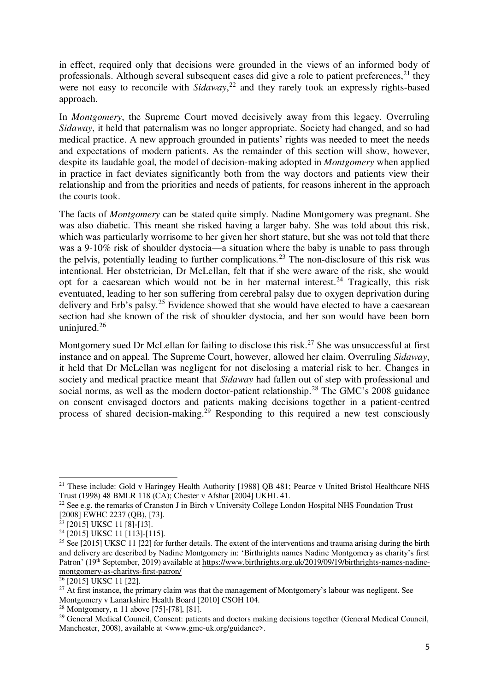in effect, required only that decisions were grounded in the views of an informed body of professionals. Although several subsequent cases did give a role to patient preferences,  $21$  they were not easy to reconcile with *Sidaway*,<sup>22</sup> and they rarely took an expressly rights-based approach.

In *Montgomery*, the Supreme Court moved decisively away from this legacy. Overruling *Sidaway*, it held that paternalism was no longer appropriate. Society had changed, and so had medical practice. A new approach grounded in patients' rights was needed to meet the needs and expectations of modern patients. As the remainder of this section will show, however, despite its laudable goal, the model of decision-making adopted in *Montgomery* when applied in practice in fact deviates significantly both from the way doctors and patients view their relationship and from the priorities and needs of patients, for reasons inherent in the approach the courts took.

The facts of *Montgomery* can be stated quite simply. Nadine Montgomery was pregnant. She was also diabetic. This meant she risked having a larger baby. She was told about this risk, which was particularly worrisome to her given her short stature, but she was not told that there was a 9-10% risk of shoulder dystocia—a situation where the baby is unable to pass through the pelvis, potentially leading to further complications.<sup>23</sup> The non-disclosure of this risk was intentional. Her obstetrician, Dr McLellan, felt that if she were aware of the risk, she would opt for a caesarean which would not be in her maternal interest.<sup>24</sup> Tragically, this risk eventuated, leading to her son suffering from cerebral palsy due to oxygen deprivation during delivery and Erb's palsy.<sup>25</sup> Evidence showed that she would have elected to have a caesarean section had she known of the risk of shoulder dystocia, and her son would have been born uninjured.<sup>26</sup>

<span id="page-5-0"></span>Montgomery sued Dr McLellan for failing to disclose this risk.<sup>27</sup> She was unsuccessful at first instance and on appeal. The Supreme Court, however, allowed her claim. Overruling *Sidaway*, it held that Dr McLellan was negligent for not disclosing a material risk to her. Changes in society and medical practice meant that *Sidaway* had fallen out of step with professional and social norms, as well as the modern doctor-patient relationship.<sup>28</sup> The GMC's 2008 guidance on consent envisaged doctors and patients making decisions together in a patient-centred process of shared decision-making.<sup>29</sup> Responding to this required a new test consciously

<sup>&</sup>lt;sup>21</sup> These include: Gold v Haringey Health Authority [1988] QB 481; Pearce v United Bristol Healthcare NHS Trust (1998) 48 BMLR 118 (CA); Chester v Afshar [2004] UKHL 41.

<sup>&</sup>lt;sup>22</sup> See e.g. the remarks of Cranston J in Birch v University College London Hospital NHS Foundation Trust [2008] EWHC 2237 (QB), [73].

 $23$  [2015] UKSC 11 [8]-[13].

<sup>24</sup> [2015] UKSC 11 [113]-[115].

<sup>&</sup>lt;sup>25</sup> See [2015] UKSC 11 [22] for further details. The extent of the interventions and trauma arising during the birth and delivery are described by Nadine Montgomery in: 'Birthrights names Nadine Montgomery as charity's first Patron' (19<sup>th</sup> September, 2019) available a[t https://www.birthrights.org.uk/2019/09/19/birthrights-names-nadine](about:blank)[montgomery-as-charitys-first-patron/](about:blank) 

<sup>&</sup>lt;sup>26</sup> [2015] UKSC 11 [22].

<sup>&</sup>lt;sup>27</sup> At first instance, the primary claim was that the management of Montgomery's labour was negligent. See Montgomery v Lanarkshire Health Board [2010] CSOH 104.

<sup>28</sup> Montgomery, [n 11](#page-3-0) above [75]-[78], [81].

<sup>&</sup>lt;sup>29</sup> General Medical Council, Consent: patients and doctors making decisions together (General Medical Council, Manchester, 2008), available at <www.gmc-uk.org/guidance>.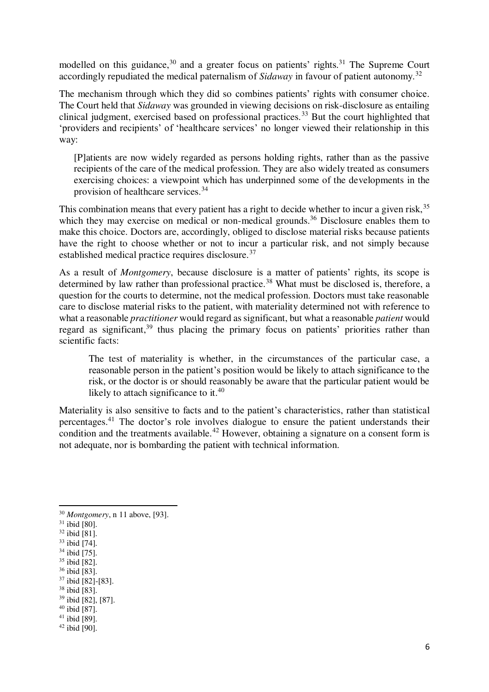modelled on this guidance, $30$  and a greater focus on patients' rights. $31$  The Supreme Court accordingly repudiated the medical paternalism of *Sidaway* in favour of patient autonomy.<sup>32</sup>

The mechanism through which they did so combines patients' rights with consumer choice. The Court held that *Sidaway* was grounded in viewing decisions on risk-disclosure as entailing clinical judgment, exercised based on professional practices.<sup>33</sup> But the court highlighted that 'providers and recipients' of 'healthcare services' no longer viewed their relationship in this way:

[P]atients are now widely regarded as persons holding rights, rather than as the passive recipients of the care of the medical profession. They are also widely treated as consumers exercising choices: a viewpoint which has underpinned some of the developments in the provision of healthcare services.<sup>34</sup>

This combination means that every patient has a right to decide whether to incur a given risk,<sup>35</sup> which they may exercise on medical or non-medical grounds.<sup>36</sup> Disclosure enables them to make this choice. Doctors are, accordingly, obliged to disclose material risks because patients have the right to choose whether or not to incur a particular risk, and not simply because established medical practice requires disclosure.<sup>37</sup>

As a result of *Montgomery*, because disclosure is a matter of patients' rights, its scope is determined by law rather than professional practice.<sup>38</sup> What must be disclosed is, therefore, a question for the courts to determine, not the medical profession. Doctors must take reasonable care to disclose material risks to the patient, with materiality determined not with reference to what a reasonable *practitioner* would regard as significant, but what a reasonable *patient* would regard as significant,<sup>39</sup> thus placing the primary focus on patients' priorities rather than scientific facts:

The test of materiality is whether, in the circumstances of the particular case, a reasonable person in the patient's position would be likely to attach significance to the risk, or the doctor is or should reasonably be aware that the particular patient would be likely to attach significance to it.<sup>40</sup>

Materiality is also sensitive to facts and to the patient's characteristics, rather than statistical percentages.<sup>41</sup> The doctor's role involves dialogue to ensure the patient understands their condition and the treatments available.<sup>42</sup> However, obtaining a signature on a consent form is not adequate, nor is bombarding the patient with technical information.

<sup>31</sup> ibid [80].

- <sup>32</sup> ibid [81].
- <sup>33</sup> ibid [74].
- <sup>34</sup> ibid [75].
- <sup>35</sup> ibid [82]. <sup>36</sup> ibid [83].
- <sup>37</sup> ibid [82]-[83].
- <sup>38</sup> ibid [83].
- <sup>39</sup> ibid [82], [87].
- <sup>40</sup> ibid [87].
- <sup>41</sup> ibid [89].
- 42 ibid [90].

<sup>30</sup> *Montgomery*, [n 11](#page-3-0) above, [93].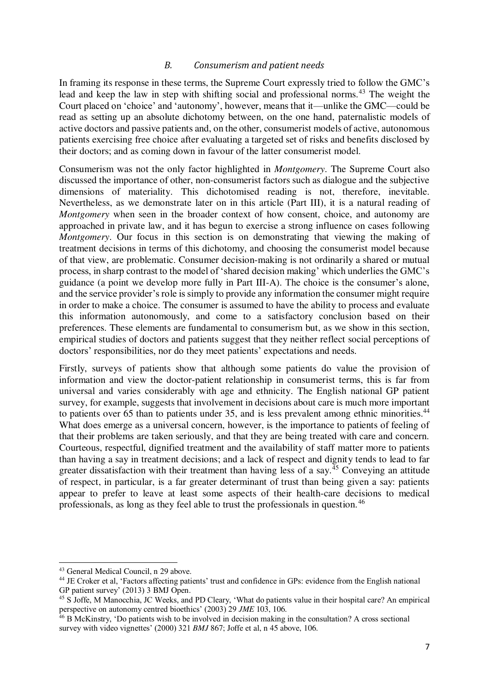#### *B. Consumerism and patient needs*

In framing its response in these terms, the Supreme Court expressly tried to follow the GMC's lead and keep the law in step with shifting social and professional norms.<sup>43</sup> The weight the Court placed on 'choice' and 'autonomy', however, means that it—unlike the GMC—could be read as setting up an absolute dichotomy between, on the one hand, paternalistic models of active doctors and passive patients and, on the other, consumerist models of active, autonomous patients exercising free choice after evaluating a targeted set of risks and benefits disclosed by their doctors; and as coming down in favour of the latter consumerist model.

Consumerism was not the only factor highlighted in *Montgomery*. The Supreme Court also discussed the importance of other, non-consumerist factors such as dialogue and the subjective dimensions of materiality. This dichotomised reading is not, therefore, inevitable. Nevertheless, as we demonstrate later on in this article (Part III), it is a natural reading of *Montgomery* when seen in the broader context of how consent, choice, and autonomy are approached in private law, and it has begun to exercise a strong influence on cases following *Montgomery*. Our focus in this section is on demonstrating that viewing the making of treatment decisions in terms of this dichotomy, and choosing the consumerist model because of that view, are problematic. Consumer decision-making is not ordinarily a shared or mutual process, in sharp contrast to the model of 'shared decision making' which underlies the GMC's guidance (a point we develop more fully in Part III-A). The choice is the consumer's alone, and the service provider's role is simply to provide any information the consumer might require in order to make a choice. The consumer is assumed to have the ability to process and evaluate this information autonomously, and come to a satisfactory conclusion based on their preferences. These elements are fundamental to consumerism but, as we show in this section, empirical studies of doctors and patients suggest that they neither reflect social perceptions of doctors' responsibilities, nor do they meet patients' expectations and needs.

<span id="page-7-0"></span>Firstly, surveys of patients show that although some patients do value the provision of information and view the doctor-patient relationship in consumerist terms, this is far from universal and varies considerably with age and ethnicity. The English national GP patient survey, for example, suggests that involvement in decisions about care is much more important to patients over 65 than to patients under 35, and is less prevalent among ethnic minorities.<sup>44</sup> What does emerge as a universal concern, however, is the importance to patients of feeling of that their problems are taken seriously, and that they are being treated with care and concern. Courteous, respectful, dignified treatment and the availability of staff matter more to patients than having a say in treatment decisions; and a lack of respect and dignity tends to lead to far greater dissatisfaction with their treatment than having less of a say.<sup>45</sup> Conveying an attitude of respect, in particular, is a far greater determinant of trust than being given a say: patients appear to prefer to leave at least some aspects of their health-care decisions to medical professionals, as long as they feel able to trust the professionals in question.<sup>46</sup>

<sup>43</sup> General Medical Council, [n 29](#page-5-0) above.

<sup>44</sup> JE Croker et al, 'Factors affecting patients' trust and confidence in GPs: evidence from the English national GP patient survey' (2013) 3 BMJ Open.

<sup>45</sup> S Joffe, M Manocchia, JC Weeks, and PD Cleary, 'What do patients value in their hospital care? An empirical perspective on autonomy centred bioethics' (2003) 29 *JME* 103, 106.

<sup>&</sup>lt;sup>46</sup> B McKinstry, 'Do patients wish to be involved in decision making in the consultation? A cross sectional survey with video vignettes' (2000) 321 *BMJ* 867; Joffe et al, n [45](#page-7-0) above, 106.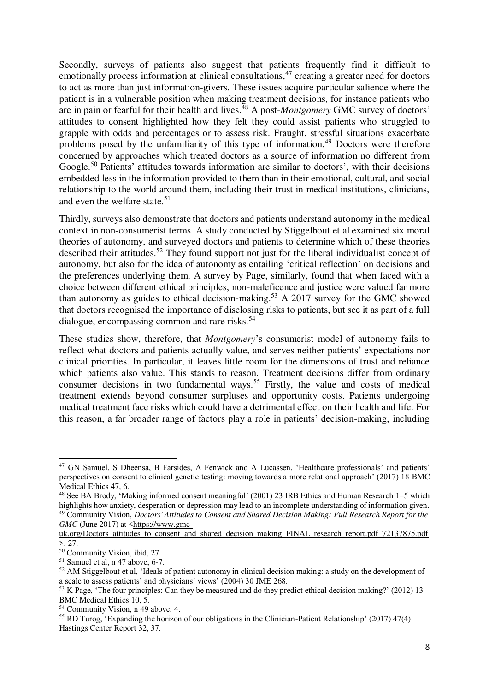<span id="page-8-3"></span><span id="page-8-0"></span>Secondly, surveys of patients also suggest that patients frequently find it difficult to emotionally process information at clinical consultations,<sup>47</sup> creating a greater need for doctors to act as more than just information-givers. These issues acquire particular salience where the patient is in a vulnerable position when making treatment decisions, for instance patients who are in pain or fearful for their health and lives.<sup>48</sup> A post-*Montgomery* GMC survey of doctors' attitudes to consent highlighted how they felt they could assist patients who struggled to grapple with odds and percentages or to assess risk. Fraught, stressful situations exacerbate problems posed by the unfamiliarity of this type of information.<sup>49</sup> Doctors were therefore concerned by approaches which treated doctors as a source of information no different from Google.<sup>50</sup> Patients' attitudes towards information are similar to doctors', with their decisions embedded less in the information provided to them than in their emotional, cultural, and social relationship to the world around them, including their trust in medical institutions, clinicians, and even the welfare state.<sup>51</sup>

<span id="page-8-1"></span>Thirdly, surveys also demonstrate that doctors and patients understand autonomy in the medical context in non-consumerist terms. A study conducted by Stiggelbout et al examined six moral theories of autonomy, and surveyed doctors and patients to determine which of these theories described their attitudes.<sup>52</sup> They found support not just for the liberal individualist concept of autonomy, but also for the idea of autonomy as entailing 'critical reflection' on decisions and the preferences underlying them. A survey by Page, similarly, found that when faced with a choice between different ethical principles, non-maleficence and justice were valued far more than autonomy as guides to ethical decision-making.<sup>53</sup> A 2017 survey for the GMC showed that doctors recognised the importance of disclosing risks to patients, but see it as part of a full dialogue, encompassing common and rare risks.<sup>54</sup>

<span id="page-8-4"></span><span id="page-8-2"></span>These studies show, therefore, that *Montgomery*'s consumerist model of autonomy fails to reflect what doctors and patients actually value, and serves neither patients' expectations nor clinical priorities. In particular, it leaves little room for the dimensions of trust and reliance which patients also value. This stands to reason. Treatment decisions differ from ordinary consumer decisions in two fundamental ways.<sup>55</sup> Firstly, the value and costs of medical treatment extends beyond consumer surpluses and opportunity costs. Patients undergoing medical treatment face risks which could have a detrimental effect on their health and life. For this reason, a far broader range of factors play a role in patients' decision-making, including

<sup>47</sup> GN Samuel, S Dheensa, B Farsides, A Fenwick and A Lucassen, 'Healthcare professionals' and patients' perspectives on consent to clinical genetic testing: moving towards a more relational approach' (2017) 18 BMC Medical Ethics 47, 6.

<sup>48</sup> See BA Brody, 'Making informed consent meaningful' (2001) 23 IRB Ethics and Human Research 1–5 which highlights how anxiety, desperation or depression may lead to an incomplete understanding of information given. <sup>49</sup> Community Vision, *Doctors' Attitudes to Consent and Shared Decision Making: Full Research Report for the GMC* (June 2017) at [<https://www.gmc-](about:blank)

[uk.org/Doctors\\_attitudes\\_to\\_consent\\_and\\_shared\\_decision\\_making\\_FINAL\\_research\\_report.pdf\\_72137875.pdf](about:blank) >, 27.

<sup>50</sup> Community Vision, ibid, 27.

 $51$  Samuel et al, n [47](#page-8-0) above, 6-7.

<sup>&</sup>lt;sup>52</sup> AM Stiggelbout et al, 'Ideals of patient autonomy in clinical decision making: a study on the development of a scale to assess patients' and physicians' views' (2004) 30 JME 268.

<sup>53</sup> K Page, 'The four principles: Can they be measured and do they predict ethical decision making?' (2012) 13 BMC Medical Ethics 10, 5.

<sup>54</sup> Community Vision, [n 49](#page-8-1) above, 4.

<sup>55</sup> RD Turog, 'Expanding the horizon of our obligations in the Clinician-Patient Relationship' (2017) 47(4) Hastings Center Report 32, 37.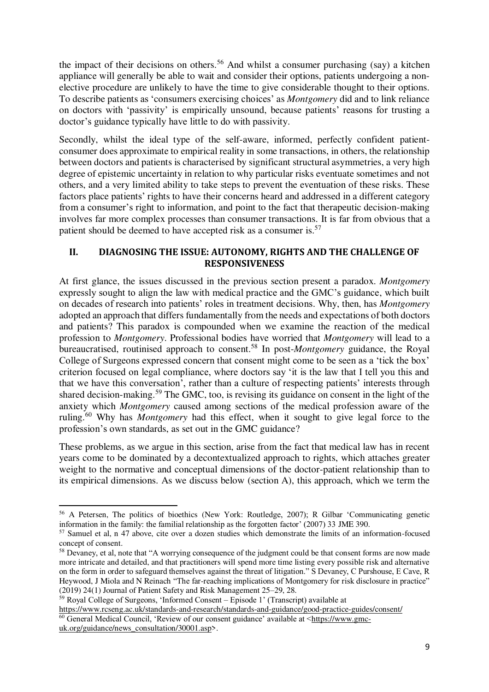the impact of their decisions on others.<sup>56</sup> And whilst a consumer purchasing (say) a kitchen appliance will generally be able to wait and consider their options, patients undergoing a nonelective procedure are unlikely to have the time to give considerable thought to their options. To describe patients as 'consumers exercising choices' as *Montgomery* did and to link reliance on doctors with 'passivity' is empirically unsound, because patients' reasons for trusting a doctor's guidance typically have little to do with passivity.

Secondly, whilst the ideal type of the self-aware, informed, perfectly confident patientconsumer does approximate to empirical reality in some transactions, in others, the relationship between doctors and patients is characterised by significant structural asymmetries, a very high degree of epistemic uncertainty in relation to why particular risks eventuate sometimes and not others, and a very limited ability to take steps to prevent the eventuation of these risks. These factors place patients' rights to have their concerns heard and addressed in a different category from a consumer's right to information, and point to the fact that therapeutic decision-making involves far more complex processes than consumer transactions. It is far from obvious that a patient should be deemed to have accepted risk as a consumer is.<sup>57</sup>

### **II. DIAGNOSING THE ISSUE: AUTONOMY, RIGHTS AND THE CHALLENGE OF RESPONSIVENESS**

<span id="page-9-0"></span>At first glance, the issues discussed in the previous section present a paradox. *Montgomery* expressly sought to align the law with medical practice and the GMC's guidance, which built on decades of research into patients' roles in treatment decisions. Why, then, has *Montgomery* adopted an approach that differs fundamentally from the needs and expectations of both doctors and patients? This paradox is compounded when we examine the reaction of the medical profession to *Montgomery*. Professional bodies have worried that *Montgomery* will lead to a bureaucratised, routinised approach to consent.<sup>58</sup> In post-*Montgomery* guidance, the Royal College of Surgeons expressed concern that consent might come to be seen as a 'tick the box' criterion focused on legal compliance, where doctors say 'it is the law that I tell you this and that we have this conversation', rather than a culture of respecting patients' interests through shared decision-making.<sup>59</sup> The GMC, too, is revising its guidance on consent in the light of the anxiety which *Montgomery* caused among sections of the medical profession aware of the ruling.<sup>60</sup> Why has *Montgomery* had this effect, when it sought to give legal force to the profession's own standards, as set out in the GMC guidance?

These problems, as we argue in this section, arise from the fact that medical law has in recent years come to be dominated by a decontextualized approach to rights, which attaches greater weight to the normative and conceptual dimensions of the doctor-patient relationship than to its empirical dimensions. As we discuss below (section A), this approach, which we term the

<sup>56</sup> A Petersen, The politics of bioethics (New York: Routledge, 2007); R Gilbar 'Communicating genetic information in the family: the familial relationship as the forgotten factor' (2007) 33 JME 390.

<sup>57</sup> Samuel et al, n [47](#page-8-0) above, cite over a dozen studies which demonstrate the limits of an information-focused concept of consent.

<sup>&</sup>lt;sup>58</sup> Devaney, et al, note that "A worrying consequence of the judgment could be that consent forms are now made more intricate and detailed, and that practitioners will spend more time listing every possible risk and alternative on the form in order to safeguard themselves against the threat of litigation." S Devaney, C Purshouse, E Cave, R Heywood, J Miola and N Reinach "The far-reaching implications of Montgomery for risk disclosure in practice" (2019) 24(1) Journal of Patient Safety and Risk Management 25–29, 28.

<sup>59</sup> Royal College of Surgeons, 'Informed Consent – Episode 1' (Transcript) available at

[https://www.rcseng.ac.uk/standards-and-research/standards-and-guidance/good-practice-guides/consent/](about:blank) 

<sup>60</sup> General Medical Council, 'Review of our consent guidance' available at <[https://www.gmc](about:blank)[uk.org/guidance/news\\_consultation/30001.asp>](about:blank).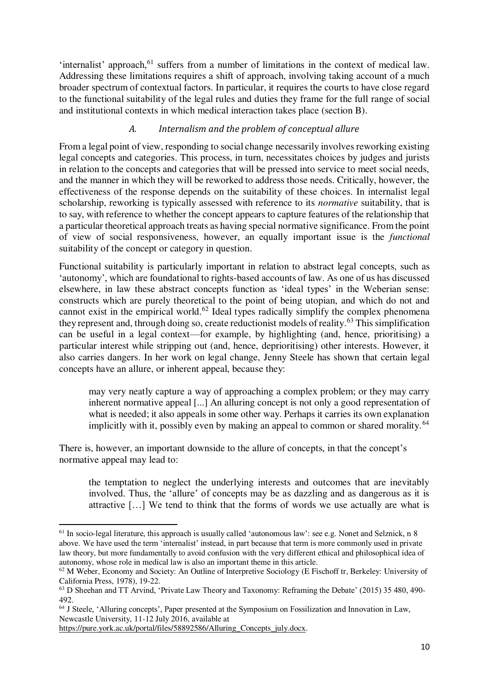$'$ internalist' approach, $^{61}$  suffers from a number of limitations in the context of medical law. Addressing these limitations requires a shift of approach, involving taking account of a much broader spectrum of contextual factors. In particular, it requires the courts to have close regard to the functional suitability of the legal rules and duties they frame for the full range of social and institutional contexts in which medical interaction takes place (section B).

# *A. Internalism and the problem of conceptual allure*

From a legal point of view, responding to social change necessarily involves reworking existing legal concepts and categories. This process, in turn, necessitates choices by judges and jurists in relation to the concepts and categories that will be pressed into service to meet social needs, and the manner in which they will be reworked to address those needs. Critically, however, the effectiveness of the response depends on the suitability of these choices. In internalist legal scholarship, reworking is typically assessed with reference to its *normative* suitability, that is to say, with reference to whether the concept appears to capture features of the relationship that a particular theoretical approach treats as having special normative significance. From the point of view of social responsiveness, however, an equally important issue is the *functional* suitability of the concept or category in question.

Functional suitability is particularly important in relation to abstract legal concepts, such as 'autonomy', which are foundational to rights-based accounts of law. As one of us has discussed elsewhere, in law these abstract concepts function as 'ideal types' in the Weberian sense: constructs which are purely theoretical to the point of being utopian, and which do not and cannot exist in the empirical world.<sup>62</sup> Ideal types radically simplify the complex phenomena they represent and, through doing so, create reductionist models of reality.<sup>63</sup> This simplification can be useful in a legal context—for example, by highlighting (and, hence, prioritising) a particular interest while stripping out (and, hence, deprioritising) other interests. However, it also carries dangers. In her work on legal change, Jenny Steele has shown that certain legal concepts have an allure, or inherent appeal, because they:

<span id="page-10-0"></span>may very neatly capture a way of approaching a complex problem; or they may carry inherent normative appeal [...] An alluring concept is not only a good representation of what is needed; it also appeals in some other way. Perhaps it carries its own explanation implicitly with it, possibly even by making an appeal to common or shared morality.<sup>64</sup>

There is, however, an important downside to the allure of concepts, in that the concept's normative appeal may lead to:

the temptation to neglect the underlying interests and outcomes that are inevitably involved. Thus, the 'allure' of concepts may be as dazzling and as dangerous as it is attractive […] We tend to think that the forms of words we use actually are what is

[https://pure.york.ac.uk/portal/files/58892586/Alluring\\_Concepts\\_july.docx.](about:blank)

<sup>&</sup>lt;sup>61</sup> In socio-legal literature, this approach is usually called 'autonomous law': see e.g. Nonet and Selznick, n 8 above. We have used the term 'internalist' instead, in part because that term is more commonly used in private law theory, but more fundamentally to avoid confusion with the very different ethical and philosophical idea of autonomy, whose role in medical law is also an important theme in this article.

<sup>&</sup>lt;sup>62</sup> M Weber, Economy and Society: An Outline of Interpretive Sociology (E Fischoff tr, Berkeley: University of California Press, 1978), 19-22.

<sup>63</sup> D Sheehan and TT Arvind, 'Private Law Theory and Taxonomy: Reframing the Debate' (2015) 35 480, 490- 492.

<sup>64</sup> J Steele, 'Alluring concepts', Paper presented at the Symposium on Fossilization and Innovation in Law, Newcastle University, 11-12 July 2016, available at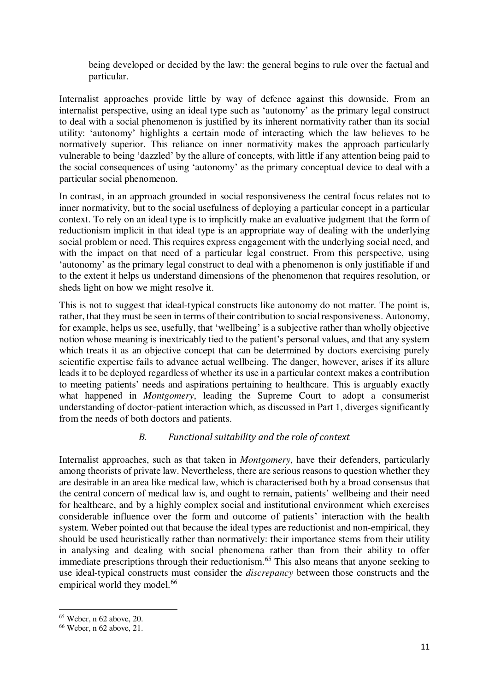being developed or decided by the law: the general begins to rule over the factual and particular.

Internalist approaches provide little by way of defence against this downside. From an internalist perspective, using an ideal type such as 'autonomy' as the primary legal construct to deal with a social phenomenon is justified by its inherent normativity rather than its social utility: 'autonomy' highlights a certain mode of interacting which the law believes to be normatively superior. This reliance on inner normativity makes the approach particularly vulnerable to being 'dazzled' by the allure of concepts, with little if any attention being paid to the social consequences of using 'autonomy' as the primary conceptual device to deal with a particular social phenomenon.

In contrast, in an approach grounded in social responsiveness the central focus relates not to inner normativity, but to the social usefulness of deploying a particular concept in a particular context. To rely on an ideal type is to implicitly make an evaluative judgment that the form of reductionism implicit in that ideal type is an appropriate way of dealing with the underlying social problem or need. This requires express engagement with the underlying social need, and with the impact on that need of a particular legal construct. From this perspective, using 'autonomy' as the primary legal construct to deal with a phenomenon is only justifiable if and to the extent it helps us understand dimensions of the phenomenon that requires resolution, or sheds light on how we might resolve it.

This is not to suggest that ideal-typical constructs like autonomy do not matter. The point is, rather, that they must be seen in terms of their contribution to social responsiveness. Autonomy, for example, helps us see, usefully, that 'wellbeing' is a subjective rather than wholly objective notion whose meaning is inextricably tied to the patient's personal values, and that any system which treats it as an objective concept that can be determined by doctors exercising purely scientific expertise fails to advance actual wellbeing. The danger, however, arises if its allure leads it to be deployed regardless of whether its use in a particular context makes a contribution to meeting patients' needs and aspirations pertaining to healthcare. This is arguably exactly what happened in *Montgomery*, leading the Supreme Court to adopt a consumerist understanding of doctor-patient interaction which, as discussed in Part 1, diverges significantly from the needs of both doctors and patients.

## *B. Functional suitability and the role of context*

Internalist approaches, such as that taken in *Montgomery*, have their defenders, particularly among theorists of private law. Nevertheless, there are serious reasons to question whether they are desirable in an area like medical law, which is characterised both by a broad consensus that the central concern of medical law is, and ought to remain, patients' wellbeing and their need for healthcare, and by a highly complex social and institutional environment which exercises considerable influence over the form and outcome of patients' interaction with the health system. Weber pointed out that because the ideal types are reductionist and non-empirical, they should be used heuristically rather than normatively: their importance stems from their utility in analysing and dealing with social phenomena rather than from their ability to offer immediate prescriptions through their reductionism.<sup>65</sup> This also means that anyone seeking to use ideal-typical constructs must consider the *discrepancy* between those constructs and the empirical world they model.<sup>66</sup>

<sup>65</sup> Weber, n [62](#page-10-0) above, 20.

<sup>66</sup> Weber, n [62](#page-10-0) above, 21.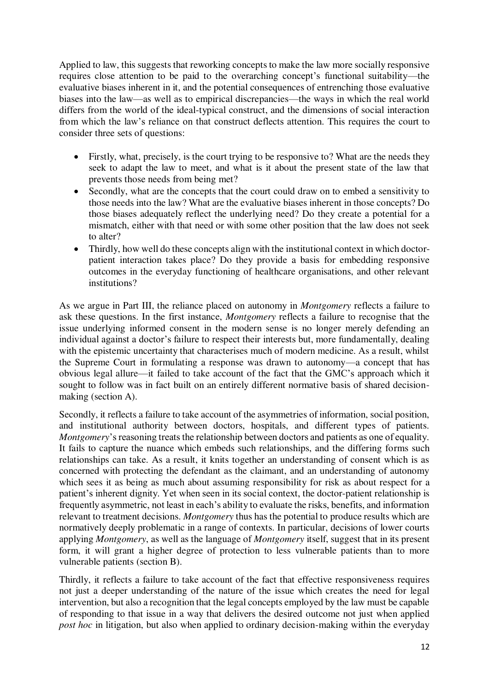Applied to law, this suggests that reworking concepts to make the law more socially responsive requires close attention to be paid to the overarching concept's functional suitability—the evaluative biases inherent in it, and the potential consequences of entrenching those evaluative biases into the law—as well as to empirical discrepancies—the ways in which the real world differs from the world of the ideal-typical construct, and the dimensions of social interaction from which the law's reliance on that construct deflects attention. This requires the court to consider three sets of questions:

- Firstly, what, precisely, is the court trying to be responsive to? What are the needs they seek to adapt the law to meet, and what is it about the present state of the law that prevents those needs from being met?
- Secondly, what are the concepts that the court could draw on to embed a sensitivity to those needs into the law? What are the evaluative biases inherent in those concepts? Do those biases adequately reflect the underlying need? Do they create a potential for a mismatch, either with that need or with some other position that the law does not seek to alter?
- Thirdly, how well do these concepts align with the institutional context in which doctorpatient interaction takes place? Do they provide a basis for embedding responsive outcomes in the everyday functioning of healthcare organisations, and other relevant institutions?

As we argue in Part III, the reliance placed on autonomy in *Montgomery* reflects a failure to ask these questions. In the first instance, *Montgomery* reflects a failure to recognise that the issue underlying informed consent in the modern sense is no longer merely defending an individual against a doctor's failure to respect their interests but, more fundamentally, dealing with the epistemic uncertainty that characterises much of modern medicine. As a result, whilst the Supreme Court in formulating a response was drawn to autonomy—a concept that has obvious legal allure—it failed to take account of the fact that the GMC's approach which it sought to follow was in fact built on an entirely different normative basis of shared decisionmaking (section A).

Secondly, it reflects a failure to take account of the asymmetries of information, social position, and institutional authority between doctors, hospitals, and different types of patients. *Montgomery*'s reasoning treats the relationship between doctors and patients as one of equality. It fails to capture the nuance which embeds such relationships, and the differing forms such relationships can take. As a result, it knits together an understanding of consent which is as concerned with protecting the defendant as the claimant, and an understanding of autonomy which sees it as being as much about assuming responsibility for risk as about respect for a patient's inherent dignity. Yet when seen in its social context, the doctor-patient relationship is frequently asymmetric, not least in each's ability to evaluate the risks, benefits, and information relevant to treatment decisions. *Montgomery* thus has the potential to produce results which are normatively deeply problematic in a range of contexts. In particular, decisions of lower courts applying *Montgomery*, as well as the language of *Montgomery* itself, suggest that in its present form, it will grant a higher degree of protection to less vulnerable patients than to more vulnerable patients (section B).

Thirdly, it reflects a failure to take account of the fact that effective responsiveness requires not just a deeper understanding of the nature of the issue which creates the need for legal intervention, but also a recognition that the legal concepts employed by the law must be capable of responding to that issue in a way that delivers the desired outcome not just when applied *post hoc* in litigation, but also when applied to ordinary decision-making within the everyday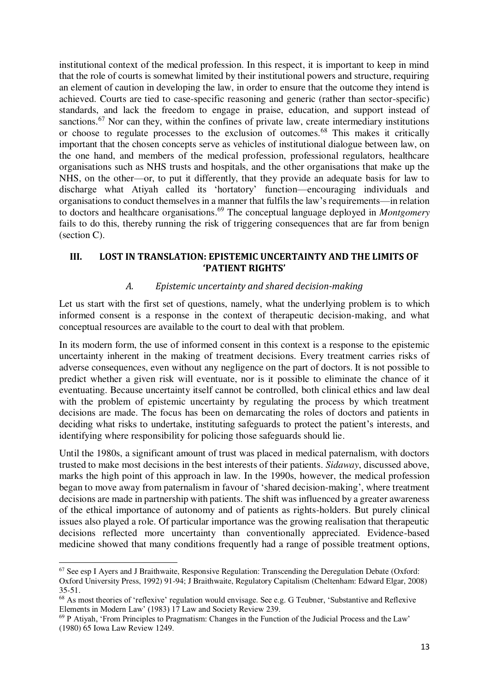institutional context of the medical profession. In this respect, it is important to keep in mind that the role of courts is somewhat limited by their institutional powers and structure, requiring an element of caution in developing the law, in order to ensure that the outcome they intend is achieved. Courts are tied to case-specific reasoning and generic (rather than sector-specific) standards, and lack the freedom to engage in praise, education, and support instead of sanctions.<sup>67</sup> Nor can they, within the confines of private law, create intermediary institutions or choose to regulate processes to the exclusion of outcomes.<sup>68</sup> This makes it critically important that the chosen concepts serve as vehicles of institutional dialogue between law, on the one hand, and members of the medical profession, professional regulators, healthcare organisations such as NHS trusts and hospitals, and the other organisations that make up the NHS, on the other—or, to put it differently, that they provide an adequate basis for law to discharge what Atiyah called its 'hortatory' function—encouraging individuals and organisations to conduct themselves in a manner that fulfils the law's requirements—in relation to doctors and healthcare organisations.<sup>69</sup> The conceptual language deployed in *Montgomery* fails to do this, thereby running the risk of triggering consequences that are far from benign (section C).

## **III. LOST IN TRANSLATION: EPISTEMIC UNCERTAINTY AND THE LIMITS OF 'PATIENT RIGHTS'**

## <span id="page-13-0"></span>*A. Epistemic uncertainty and shared decision-making*

Let us start with the first set of questions, namely, what the underlying problem is to which informed consent is a response in the context of therapeutic decision-making, and what conceptual resources are available to the court to deal with that problem.

In its modern form, the use of informed consent in this context is a response to the epistemic uncertainty inherent in the making of treatment decisions. Every treatment carries risks of adverse consequences, even without any negligence on the part of doctors. It is not possible to predict whether a given risk will eventuate, nor is it possible to eliminate the chance of it eventuating. Because uncertainty itself cannot be controlled, both clinical ethics and law deal with the problem of epistemic uncertainty by regulating the process by which treatment decisions are made. The focus has been on demarcating the roles of doctors and patients in deciding what risks to undertake, instituting safeguards to protect the patient's interests, and identifying where responsibility for policing those safeguards should lie.

Until the 1980s, a significant amount of trust was placed in medical paternalism, with doctors trusted to make most decisions in the best interests of their patients. *Sidaway*, discussed above, marks the high point of this approach in law. In the 1990s, however, the medical profession began to move away from paternalism in favour of 'shared decision-making', where treatment decisions are made in partnership with patients. The shift was influenced by a greater awareness of the ethical importance of autonomy and of patients as rights-holders. But purely clinical issues also played a role. Of particular importance was the growing realisation that therapeutic decisions reflected more uncertainty than conventionally appreciated. Evidence-based medicine showed that many conditions frequently had a range of possible treatment options,

 $67$  See esp I Ayers and J Braithwaite, Responsive Regulation: Transcending the Deregulation Debate (Oxford: Oxford University Press, 1992) 91-94; J Braithwaite, Regulatory Capitalism (Cheltenham: Edward Elgar, 2008)  $35-51$ .

<sup>68</sup> As most theories of 'reflexive' regulation would envisage. See e.g. G Teubner, 'Substantive and Reflexive Elements in Modern Law' (1983) 17 Law and Society Review 239.

<sup>69</sup> P Atiyah, 'From Principles to Pragmatism: Changes in the Function of the Judicial Process and the Law' (1980) 65 Iowa Law Review 1249.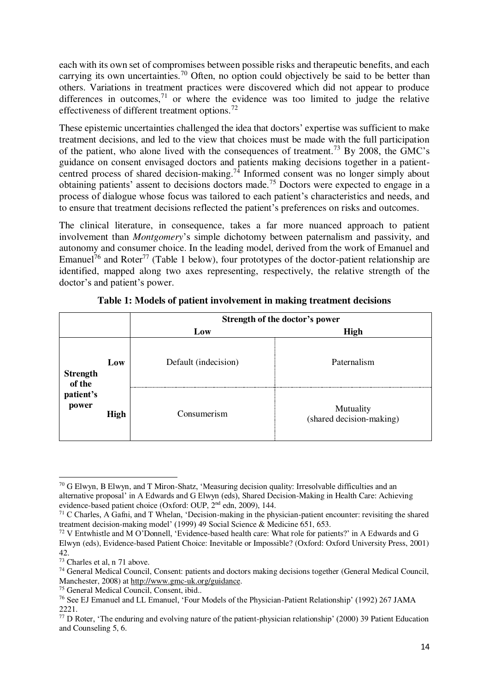each with its own set of compromises between possible risks and therapeutic benefits, and each carrying its own uncertainties.<sup>70</sup> Often, no option could objectively be said to be better than others. Variations in treatment practices were discovered which did not appear to produce differences in outcomes, $\frac{71}{1}$  or where the evidence was too limited to judge the relative effectiveness of different treatment options.<sup>72</sup>

<span id="page-14-0"></span>These epistemic uncertainties challenged the idea that doctors' expertise was sufficient to make treatment decisions, and led to the view that choices must be made with the full participation of the patient, who alone lived with the consequences of treatment.<sup>73</sup> By 2008, the GMC's guidance on consent envisaged doctors and patients making decisions together in a patientcentred process of shared decision-making.<sup>74</sup> Informed consent was no longer simply about obtaining patients' assent to decisions doctors made.<sup>75</sup> Doctors were expected to engage in a process of dialogue whose focus was tailored to each patient's characteristics and needs, and to ensure that treatment decisions reflected the patient's preferences on risks and outcomes.

The clinical literature, in consequence, takes a far more nuanced approach to patient involvement than *Montgomery*'s simple dichotomy between paternalism and passivity, and autonomy and consumer choice. In the leading model, derived from the work of Emanuel and Emanuel<sup>76</sup> and Roter<sup>77</sup> (Table 1 below), four prototypes of the doctor-patient relationship are identified, mapped along two axes representing, respectively, the relative strength of the doctor's and patient's power.

|                                                 |      | Strength of the doctor's power |                                       |
|-------------------------------------------------|------|--------------------------------|---------------------------------------|
|                                                 |      | Low                            | <b>High</b>                           |
| <b>Strength</b><br>of the<br>patient's<br>power | Low  | Default (indecision)           | Paternalism                           |
|                                                 | High | Consumerism                    | Mutuality<br>(shared decision-making) |

<span id="page-14-2"></span><span id="page-14-1"></span>**Table 1: Models of patient involvement in making treatment decisions** 

<sup>70</sup> G Elwyn, B Elwyn, and T Miron-Shatz, 'Measuring decision quality: Irresolvable difficulties and an alternative proposal' in A Edwards and G Elwyn (eds), Shared Decision-Making in Health Care: Achieving evidence-based patient choice (Oxford: OUP, 2nd edn, 2009), 144.

 $71$  C Charles, A Gafni, and T Whelan, 'Decision-making in the physician-patient encounter: revisiting the shared treatment decision-making model' (1999) 49 Social Science & Medicine 651, 653.

<sup>72</sup> V Entwhistle and M O'Donnell, 'Evidence-based health care: What role for patients?' in A Edwards and G Elwyn (eds), Evidence-based Patient Choice: Inevitable or Impossible? (Oxford: Oxford University Press, 2001) 42.

<sup>73</sup> Charles et al, [n 71](#page-14-0) above.

<sup>74</sup> General Medical Council, Consent: patients and doctors making decisions together (General Medical Council, Manchester, 2008) at [http://www.gmc-uk.org/guidance.](about:blank)

<sup>75</sup> General Medical Council, Consent, ibid..

<sup>76</sup> See EJ Emanuel and LL Emanuel, 'Four Models of the Physician-Patient Relationship' (1992) 267 JAMA 2221.

<sup>&</sup>lt;sup>77</sup> D Roter, 'The enduring and evolving nature of the patient-physician relationship' (2000) 39 Patient Education and Counseling 5, 6.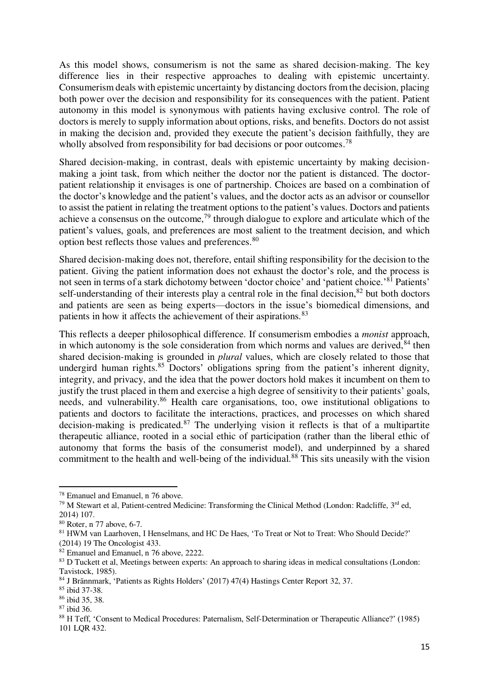As this model shows, consumerism is not the same as shared decision-making. The key difference lies in their respective approaches to dealing with epistemic uncertainty. Consumerism deals with epistemic uncertainty by distancing doctors from the decision, placing both power over the decision and responsibility for its consequences with the patient. Patient autonomy in this model is synonymous with patients having exclusive control. The role of doctors is merely to supply information about options, risks, and benefits. Doctors do not assist in making the decision and, provided they execute the patient's decision faithfully, they are wholly absolved from responsibility for bad decisions or poor outcomes.<sup>78</sup>

Shared decision-making, in contrast, deals with epistemic uncertainty by making decisionmaking a joint task, from which neither the doctor nor the patient is distanced. The doctorpatient relationship it envisages is one of partnership. Choices are based on a combination of the doctor's knowledge and the patient's values, and the doctor acts as an advisor or counsellor to assist the patient in relating the treatment options to the patient's values. Doctors and patients achieve a consensus on the outcome,<sup>79</sup> through dialogue to explore and articulate which of the patient's values, goals, and preferences are most salient to the treatment decision, and which option best reflects those values and preferences.<sup>80</sup>

Shared decision-making does not, therefore, entail shifting responsibility for the decision to the patient. Giving the patient information does not exhaust the doctor's role, and the process is not seen in terms of a stark dichotomy between 'doctor choice' and 'patient choice.'<sup>81</sup> Patients' self-understanding of their interests play a central role in the final decision,<sup>82</sup> but both doctors and patients are seen as being experts—doctors in the issue's biomedical dimensions, and patients in how it affects the achievement of their aspirations.<sup>83</sup>

<span id="page-15-0"></span>This reflects a deeper philosophical difference. If consumerism embodies a *monist* approach, in which autonomy is the sole consideration from which norms and values are derived, $84$  then shared decision-making is grounded in *plural* values, which are closely related to those that undergird human rights.<sup>85</sup> Doctors' obligations spring from the patient's inherent dignity, integrity, and privacy, and the idea that the power doctors hold makes it incumbent on them to justify the trust placed in them and exercise a high degree of sensitivity to their patients' goals, needs, and vulnerability.<sup>86</sup> Health care organisations, too, owe institutional obligations to patients and doctors to facilitate the interactions, practices, and processes on which shared decision-making is predicated.<sup>87</sup> The underlying vision it reflects is that of a multipartite therapeutic alliance, rooted in a social ethic of participation (rather than the liberal ethic of autonomy that forms the basis of the consumerist model), and underpinned by a shared commitment to the health and well-being of the individual.<sup>88</sup> This sits uneasily with the vision

<sup>78</sup> Emanuel and Emanuel, n [76](#page-14-1) above.

<sup>&</sup>lt;sup>79</sup> M Stewart et al, Patient-centred Medicine: Transforming the Clinical Method (London: Radcliffe, 3<sup>rd</sup> ed, 2014) 107.

<sup>80</sup> Roter, [n 77](#page-14-2) above, 6-7.

<sup>81</sup> HWM van Laarhoven, I Henselmans, and HC De Haes, 'To Treat or Not to Treat: Who Should Decide?' (2014) 19 The Oncologist 433.

<sup>82</sup> Emanuel and Emanuel, n [76](#page-14-1) above, 2222.

<sup>&</sup>lt;sup>83</sup> D Tuckett et al, Meetings between experts: An approach to sharing ideas in medical consultations (London: Tavistock, 1985).

<sup>84</sup> J Brännmark, 'Patients as Rights Holders' (2017) 47(4) Hastings Center Report 32, 37.

<sup>85</sup> ibid 37-38.

<sup>86</sup> ibid 35, 38.

<sup>87</sup> ibid 36.

<sup>88</sup> H Teff, 'Consent to Medical Procedures: Paternalism, Self-Determination or Therapeutic Alliance?' (1985) 101 LQR 432.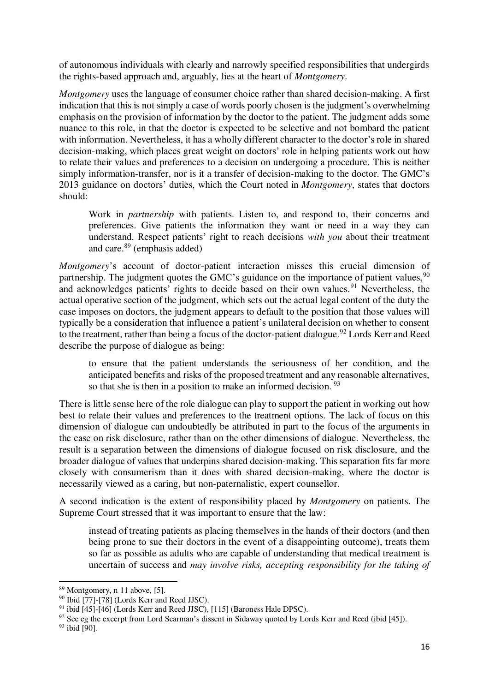of autonomous individuals with clearly and narrowly specified responsibilities that undergirds the rights-based approach and, arguably, lies at the heart of *Montgomery*.

*Montgomery* uses the language of consumer choice rather than shared decision-making. A first indication that this is not simply a case of words poorly chosen is the judgment's overwhelming emphasis on the provision of information by the doctor to the patient. The judgment adds some nuance to this role, in that the doctor is expected to be selective and not bombard the patient with information. Nevertheless, it has a wholly different character to the doctor's role in shared decision-making, which places great weight on doctors' role in helping patients work out how to relate their values and preferences to a decision on undergoing a procedure. This is neither simply information-transfer, nor is it a transfer of decision-making to the doctor. The GMC's 2013 guidance on doctors' duties, which the Court noted in *Montgomery*, states that doctors should:

Work in *partnership* with patients. Listen to, and respond to, their concerns and preferences. Give patients the information they want or need in a way they can understand. Respect patients' right to reach decisions *with you* about their treatment and care.<sup>89</sup> (emphasis added)

*Montgomery*'s account of doctor-patient interaction misses this crucial dimension of partnership. The judgment quotes the GMC's guidance on the importance of patient values,<sup>90</sup> and acknowledges patients' rights to decide based on their own values.<sup>91</sup> Nevertheless, the actual operative section of the judgment, which sets out the actual legal content of the duty the case imposes on doctors, the judgment appears to default to the position that those values will typically be a consideration that influence a patient's unilateral decision on whether to consent to the treatment, rather than being a focus of the doctor-patient dialogue.<sup>92</sup> Lords Kerr and Reed describe the purpose of dialogue as being:

to ensure that the patient understands the seriousness of her condition, and the anticipated benefits and risks of the proposed treatment and any reasonable alternatives, so that she is then in a position to make an informed decision.<sup>93</sup>

There is little sense here of the role dialogue can play to support the patient in working out how best to relate their values and preferences to the treatment options. The lack of focus on this dimension of dialogue can undoubtedly be attributed in part to the focus of the arguments in the case on risk disclosure, rather than on the other dimensions of dialogue. Nevertheless, the result is a separation between the dimensions of dialogue focused on risk disclosure, and the broader dialogue of values that underpins shared decision-making. This separation fits far more closely with consumerism than it does with shared decision-making, where the doctor is necessarily viewed as a caring, but non-paternalistic, expert counsellor.

A second indication is the extent of responsibility placed by *Montgomery* on patients. The Supreme Court stressed that it was important to ensure that the law:

instead of treating patients as placing themselves in the hands of their doctors (and then being prone to sue their doctors in the event of a disappointing outcome), treats them so far as possible as adults who are capable of understanding that medical treatment is uncertain of success and *may involve risks, accepting responsibility for the taking of* 

<sup>89</sup> Montgomery, [n 11](#page-3-0) above, [5].

<sup>90</sup> Ibid [77]-[78] (Lords Kerr and Reed JJSC).

 $91$  ibid [45]-[46] (Lords Kerr and Reed JJSC), [115] (Baroness Hale DPSC).

<sup>&</sup>lt;sup>92</sup> See eg the excerpt from Lord Scarman's dissent in Sidaway quoted by Lords Kerr and Reed (ibid [45]).

<sup>93</sup> ibid [90].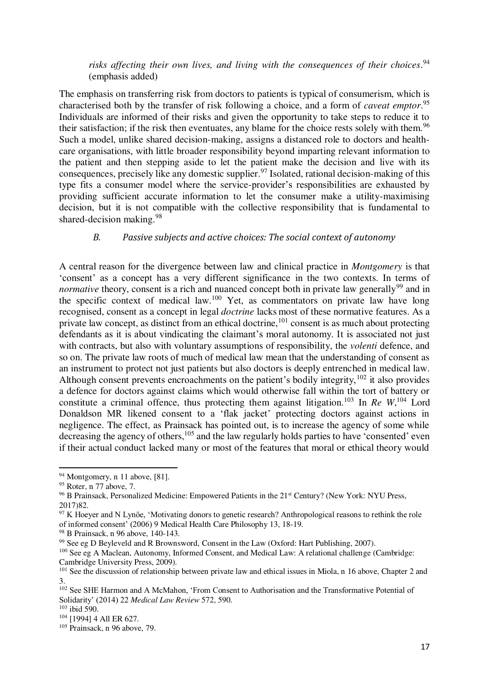<span id="page-17-0"></span>*risks affecting their own lives, and living with the consequences of their choices*. 94 (emphasis added)

The emphasis on transferring risk from doctors to patients is typical of consumerism, which is characterised both by the transfer of risk following a choice, and a form of *caveat emptor*. 95 Individuals are informed of their risks and given the opportunity to take steps to reduce it to their satisfaction; if the risk then eventuates, any blame for the choice rests solely with them.<sup>96</sup> Such a model, unlike shared decision-making, assigns a distanced role to doctors and healthcare organisations, with little broader responsibility beyond imparting relevant information to the patient and then stepping aside to let the patient make the decision and live with its consequences, precisely like any domestic supplier.<sup>97</sup> Isolated, rational decision-making of this type fits a consumer model where the service-provider's responsibilities are exhausted by providing sufficient accurate information to let the consumer make a utility-maximising decision, but it is not compatible with the collective responsibility that is fundamental to shared-decision making.<sup>98</sup>

#### *B. Passive subjects and active choices: The social context of autonomy*

A central reason for the divergence between law and clinical practice in *Montgomery* is that 'consent' as a concept has a very different significance in the two contexts. In terms of *normative* theory, consent is a rich and nuanced concept both in private law generally<sup>99</sup> and in the specific context of medical law.<sup>100</sup> Yet, as commentators on private law have long recognised, consent as a concept in legal *doctrine* lacks most of these normative features. As a private law concept, as distinct from an ethical doctrine, <sup>101</sup> consent is as much about protecting defendants as it is about vindicating the claimant's moral autonomy. It is associated not just with contracts, but also with voluntary assumptions of responsibility, the *volenti* defence, and so on. The private law roots of much of medical law mean that the understanding of consent as an instrument to protect not just patients but also doctors is deeply entrenched in medical law. Although consent prevents encroachments on the patient's bodily integrity,  $102$  it also provides a defence for doctors against claims which would otherwise fall within the tort of battery or constitute a criminal offence, thus protecting them against litigation.<sup>103</sup> In  $Re W$ ,<sup>104</sup> Lord Donaldson MR likened consent to a 'flak jacket' protecting doctors against actions in negligence. The effect, as Prainsack has pointed out, is to increase the agency of some while decreasing the agency of others,<sup>105</sup> and the law regularly holds parties to have 'consented' even if their actual conduct lacked many or most of the features that moral or ethical theory would

<sup>94</sup> Montgomery, [n 11](#page-3-0) above, [81].

<sup>95</sup> Roter, [n 77](#page-14-2) above, 7.

<sup>&</sup>lt;sup>96</sup> B Prainsack, Personalized Medicine: Empowered Patients in the 21<sup>st</sup> Century? (New York: NYU Press, 2017)82.

<sup>&</sup>lt;sup>97</sup> K Hoeyer and N Lynöe, 'Motivating donors to genetic research? Anthropological reasons to rethink the role of informed consent' (2006) 9 Medical Health Care Philosophy 13, 18-19.

<sup>98</sup> B Prainsack, [n 96](#page-17-0) above, 140-143.

<sup>&</sup>lt;sup>99</sup> See eg D Beyleveld and R Brownsword, Consent in the Law (Oxford: Hart Publishing, 2007).

<sup>&</sup>lt;sup>100</sup> See eg A Maclean, Autonomy, Informed Consent, and Medical Law: A relational challenge (Cambridge: Cambridge University Press, 2009).

<sup>&</sup>lt;sup>101</sup> See the discussion of relationship between private law and ethical issues in Miola, n [16](#page-4-0) above, Chapter 2 and 3.

<sup>&</sup>lt;sup>102</sup> See SHE Harmon and A McMahon, 'From Consent to Authorisation and the Transformative Potential of Solidarity' (2014) 22 *Medical Law Review* 572, 590.

<sup>103</sup> ibid 590.

<sup>104 [1994] 4</sup> All ER 627.

<sup>105</sup> Prainsack, [n 96](#page-17-0) above, 79.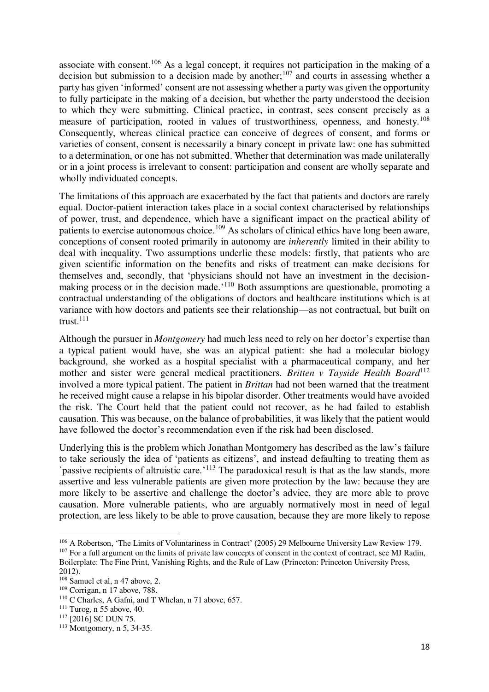associate with consent.<sup>106</sup> As a legal concept, it requires not participation in the making of a decision but submission to a decision made by another;<sup>107</sup> and courts in assessing whether a party has given 'informed' consent are not assessing whether a party was given the opportunity to fully participate in the making of a decision, but whether the party understood the decision to which they were submitting. Clinical practice, in contrast, sees consent precisely as a measure of participation, rooted in values of trustworthiness, openness, and honesty.<sup>108</sup> Consequently, whereas clinical practice can conceive of degrees of consent, and forms or varieties of consent, consent is necessarily a binary concept in private law: one has submitted to a determination, or one has not submitted. Whether that determination was made unilaterally or in a joint process is irrelevant to consent: participation and consent are wholly separate and wholly individuated concepts.

The limitations of this approach are exacerbated by the fact that patients and doctors are rarely equal. Doctor-patient interaction takes place in a social context characterised by relationships of power, trust, and dependence, which have a significant impact on the practical ability of patients to exercise autonomous choice.<sup>109</sup> As scholars of clinical ethics have long been aware, conceptions of consent rooted primarily in autonomy are *inherently* limited in their ability to deal with inequality. Two assumptions underlie these models: firstly, that patients who are given scientific information on the benefits and risks of treatment can make decisions for themselves and, secondly, that 'physicians should not have an investment in the decisionmaking process or in the decision made.'<sup>110</sup> Both assumptions are questionable, promoting a contractual understanding of the obligations of doctors and healthcare institutions which is at variance with how doctors and patients see their relationship—as not contractual, but built on trust. $^{111}$ 

Although the pursuer in *Montgomery* had much less need to rely on her doctor's expertise than a typical patient would have, she was an atypical patient: she had a molecular biology background, she worked as a hospital specialist with a pharmaceutical company, and her mother and sister were general medical practitioners. *Britten v Tayside Health Board*<sup>112</sup> involved a more typical patient. The patient in *Brittan* had not been warned that the treatment he received might cause a relapse in his bipolar disorder. Other treatments would have avoided the risk. The Court held that the patient could not recover, as he had failed to establish causation. This was because, on the balance of probabilities, it was likely that the patient would have followed the doctor's recommendation even if the risk had been disclosed.

Underlying this is the problem which Jonathan Montgomery has described as the law's failure to take seriously the idea of 'patients as citizens', and instead defaulting to treating them as `passive recipients of altruistic care.'<sup>113</sup> The paradoxical result is that as the law stands, more assertive and less vulnerable patients are given more protection by the law: because they are more likely to be assertive and challenge the doctor's advice, they are more able to prove causation. More vulnerable patients, who are arguably normatively most in need of legal protection, are less likely to be able to prove causation, because they are more likely to repose

<sup>106</sup> A Robertson, 'The Limits of Voluntariness in Contract' (2005) 29 Melbourne University Law Review 179.  $107$  For a full argument on the limits of private law concepts of consent in the context of contract, see MJ Radin, Boilerplate: The Fine Print, Vanishing Rights, and the Rule of Law (Princeton: Princeton University Press, 2012).

<sup>&</sup>lt;sup>108</sup> Samuel et al, [n 47](#page-8-0) above, 2.

<sup>109</sup> Corrigan, [n 17](#page-4-1) above, 788.

<sup>&</sup>lt;sup>110</sup> C Charles, A Gafni, and T Whelan, [n 71](#page-14-0) above, 657.

 $111$  Turog, [n 55](#page-8-2) above, 40.

<sup>112</sup> [2016] SC DUN 75.

<sup>113</sup> Montgomery, n [5,](#page-2-1) 34-35.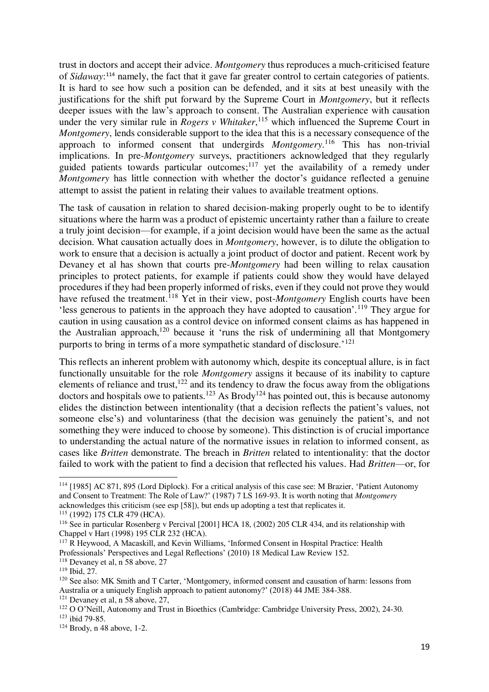trust in doctors and accept their advice. *Montgomery* thus reproduces a much-criticised feature of *Sidaway*:<sup>114</sup> namely, the fact that it gave far greater control to certain categories of patients. It is hard to see how such a position can be defended, and it sits at best uneasily with the justifications for the shift put forward by the Supreme Court in *Montgomery*, but it reflects deeper issues with the law's approach to consent. The Australian experience with causation under the very similar rule in *Rogers v Whitaker*,<sup>115</sup> which influenced the Supreme Court in *Montgomery*, lends considerable support to the idea that this is a necessary consequence of the approach to informed consent that undergirds *Montgomery*.<sup>116</sup> This has non-trivial implications. In pre-*Montgomery* surveys, practitioners acknowledged that they regularly guided patients towards particular outcomes; $^{117}$  yet the availability of a remedy under *Montgomery* has little connection with whether the doctor's guidance reflected a genuine attempt to assist the patient in relating their values to available treatment options.

The task of causation in relation to shared decision-making properly ought to be to identify situations where the harm was a product of epistemic uncertainty rather than a failure to create a truly joint decision—for example, if a joint decision would have been the same as the actual decision. What causation actually does in *Montgomery*, however, is to dilute the obligation to work to ensure that a decision is actually a joint product of doctor and patient. Recent work by Devaney et al has shown that courts pre-*Montgomery* had been willing to relax causation principles to protect patients, for example if patients could show they would have delayed procedures if they had been properly informed of risks, even if they could not prove they would have refused the treatment.<sup>118</sup> Yet in their view, post-*Montgomery* English courts have been 'less generous to patients in the approach they have adopted to causation'.<sup>119</sup> They argue for caution in using causation as a control device on informed consent claims as has happened in the Australian approach, $120$  because it 'runs the risk of undermining all that Montgomery purports to bring in terms of a more sympathetic standard of disclosure.'<sup>121</sup>

This reflects an inherent problem with autonomy which, despite its conceptual allure, is in fact functionally unsuitable for the role *Montgomery* assigns it because of its inability to capture elements of reliance and trust, $122$  and its tendency to draw the focus away from the obligations doctors and hospitals owe to patients.<sup>123</sup> As Brody<sup>124</sup> has pointed out, this is because autonomy elides the distinction between intentionality (that a decision reflects the patient's values, not someone else's) and voluntariness (that the decision was genuinely the patient's, and not something they were induced to choose by someone). This distinction is of crucial importance to understanding the actual nature of the normative issues in relation to informed consent, as cases like *Britten* demonstrate. The breach in *Britten* related to intentionality: that the doctor failed to work with the patient to find a decision that reflected his values. Had *Britten*—or, for

<sup>114</sup> [1985] AC 871, 895 (Lord Diplock). For a critical analysis of this case see: M Brazier, 'Patient Autonomy and Consent to Treatment: The Role of Law?' (1987) 7 LS 169-93. It is worth noting that *Montgomery* acknowledges this criticism (see esp [58]), but ends up adopting a test that replicates it.

<sup>115</sup> (1992) 175 CLR 479 (HCA).

<sup>116</sup> See in particular Rosenberg v Percival [2001] HCA 18, (2002) 205 CLR 434, and its relationship with Chappel v Hart (1998) 195 CLR 232 (HCA).

<sup>&</sup>lt;sup>117</sup> R Heywood, A Macaskill, and Kevin Williams, 'Informed Consent in Hospital Practice: Health Professionals' Perspectives and Legal Reflections' (2010) 18 Medical Law Review 152.

<sup>&</sup>lt;sup>118</sup> Devaney et al, [n 58](#page-9-0) above, 27

<sup>119</sup> Ibid, 27.

<sup>120</sup> See also: MK Smith and T Carter, 'Montgomery, informed consent and causation of harm: lessons from Australia or a uniquely English approach to patient autonomy?' (2018) 44 JME 384-388.

 $121$  Devaney et al, [n 58](#page-9-0) above, 27,

<sup>122</sup> O O'Neill, Autonomy and Trust in Bioethics (Cambridge: Cambridge University Press, 2002), 24-30.

<sup>123</sup> ibid 79-85.

 $124$  Brody, n [48](#page-8-3) above, 1-2.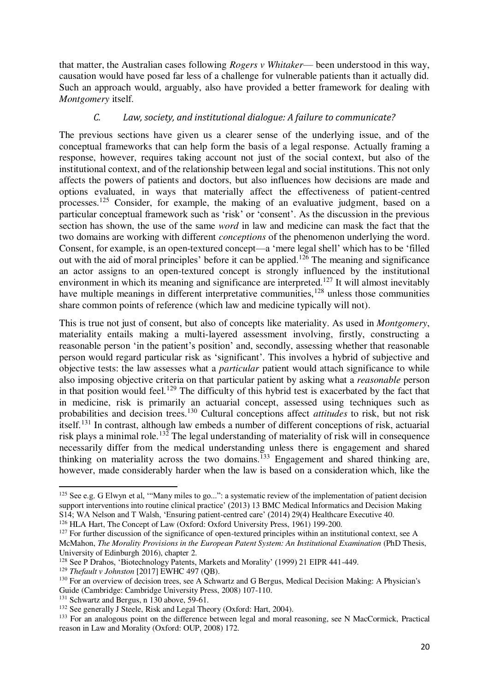that matter, the Australian cases following *Rogers v Whitaker*— been understood in this way, causation would have posed far less of a challenge for vulnerable patients than it actually did. Such an approach would, arguably, also have provided a better framework for dealing with *Montgomery* itself.

#### *C. Law, society, and institutional dialogue: A failure to communicate?*

The previous sections have given us a clearer sense of the underlying issue, and of the conceptual frameworks that can help form the basis of a legal response. Actually framing a response, however, requires taking account not just of the social context, but also of the institutional context, and of the relationship between legal and social institutions. This not only affects the powers of patients and doctors, but also influences how decisions are made and options evaluated, in ways that materially affect the effectiveness of patient-centred processes.<sup>125</sup> Consider, for example, the making of an evaluative judgment, based on a particular conceptual framework such as 'risk' or 'consent'. As the discussion in the previous section has shown, the use of the same *word* in law and medicine can mask the fact that the two domains are working with different *conceptions* of the phenomenon underlying the word. Consent, for example, is an open-textured concept—a 'mere legal shell' which has to be 'filled out with the aid of moral principles' before it can be applied.<sup>126</sup> The meaning and significance an actor assigns to an open-textured concept is strongly influenced by the institutional environment in which its meaning and significance are interpreted.<sup>127</sup> It will almost inevitably have multiple meanings in different interpretative communities,  $128$  unless those communities share common points of reference (which law and medicine typically will not).

This is true not just of consent, but also of concepts like materiality. As used in *Montgomery*, materiality entails making a multi-layered assessment involving, firstly, constructing a reasonable person 'in the patient's position' and, secondly, assessing whether that reasonable person would regard particular risk as 'significant'. This involves a hybrid of subjective and objective tests: the law assesses what a *particular* patient would attach significance to while also imposing objective criteria on that particular patient by asking what a *reasonable* person in that position would feel.<sup>129</sup> The difficulty of this hybrid test is exacerbated by the fact that in medicine, risk is primarily an actuarial concept, assessed using techniques such as probabilities and decision trees.<sup>130</sup> Cultural conceptions affect *attitudes* to risk, but not risk itself.<sup>131</sup> In contrast, although law embeds a number of different conceptions of risk, actuarial risk plays a minimal role.<sup>132</sup> The legal understanding of materiality of risk will in consequence necessarily differ from the medical understanding unless there is engagement and shared thinking on materiality across the two domains.<sup>133</sup> Engagement and shared thinking are, however, made considerably harder when the law is based on a consideration which, like the

<span id="page-20-0"></span><sup>&</sup>lt;sup>125</sup> See e.g. G Elwyn et al, "Many miles to go...": a systematic review of the implementation of patient decision support interventions into routine clinical practice' (2013) 13 BMC Medical Informatics and Decision Making S14; WA Nelson and T Walsh, 'Ensuring patient-centred care' (2014) 29(4) Healthcare Executive 40.

<sup>126</sup> HLA Hart, The Concept of Law (Oxford: Oxford University Press, 1961) 199-200.

 $127$  For further discussion of the significance of open-textured principles within an institutional context, see A McMahon, *The Morality Provisions in the European Patent System: An Institutional Examination* (PhD Thesis, University of Edinburgh 2016), chapter 2.

<sup>&</sup>lt;sup>128</sup> See P Drahos, 'Biotechnology Patents, Markets and Morality' (1999) 21 EIPR 441-449.

<sup>129</sup> *Thefault v Johnston* [2017] EWHC 497 (QB).

<sup>&</sup>lt;sup>130</sup> For an overview of decision trees, see A Schwartz and G Bergus, Medical Decision Making: A Physician's Guide (Cambridge: Cambridge University Press, 2008) 107-110.

<sup>&</sup>lt;sup>131</sup> Schwartz and Bergus, [n 130](#page-20-0) above, 59-61.

<sup>&</sup>lt;sup>132</sup> See generally J Steele, Risk and Legal Theory (Oxford: Hart. 2004).

<sup>&</sup>lt;sup>133</sup> For an analogous point on the difference between legal and moral reasoning, see N MacCormick, Practical reason in Law and Morality (Oxford: OUP, 2008) 172.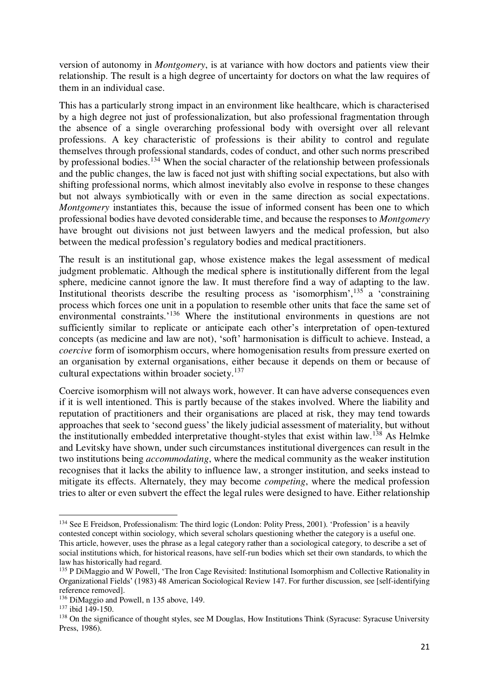version of autonomy in *Montgomery*, is at variance with how doctors and patients view their relationship. The result is a high degree of uncertainty for doctors on what the law requires of them in an individual case.

This has a particularly strong impact in an environment like healthcare, which is characterised by a high degree not just of professionalization, but also professional fragmentation through the absence of a single overarching professional body with oversight over all relevant professions. A key characteristic of professions is their ability to control and regulate themselves through professional standards, codes of conduct, and other such norms prescribed by professional bodies.<sup>134</sup> When the social character of the relationship between professionals and the public changes, the law is faced not just with shifting social expectations, but also with shifting professional norms, which almost inevitably also evolve in response to these changes but not always symbiotically with or even in the same direction as social expectations. *Montgomery* instantiates this, because the issue of informed consent has been one to which professional bodies have devoted considerable time, and because the responses to *Montgomery* have brought out divisions not just between lawyers and the medical profession, but also between the medical profession's regulatory bodies and medical practitioners.

<span id="page-21-0"></span>The result is an institutional gap, whose existence makes the legal assessment of medical judgment problematic. Although the medical sphere is institutionally different from the legal sphere, medicine cannot ignore the law. It must therefore find a way of adapting to the law. Institutional theorists describe the resulting process as 'isomorphism',<sup>135</sup> a 'constraining process which forces one unit in a population to resemble other units that face the same set of environmental constraints.<sup>'136</sup> Where the institutional environments in questions are not sufficiently similar to replicate or anticipate each other's interpretation of open-textured concepts (as medicine and law are not), 'soft' harmonisation is difficult to achieve. Instead, a *coercive* form of isomorphism occurs, where homogenisation results from pressure exerted on an organisation by external organisations, either because it depends on them or because of cultural expectations within broader society.<sup>137</sup>

Coercive isomorphism will not always work, however. It can have adverse consequences even if it is well intentioned. This is partly because of the stakes involved. Where the liability and reputation of practitioners and their organisations are placed at risk, they may tend towards approaches that seek to 'second guess' the likely judicial assessment of materiality, but without the institutionally embedded interpretative thought-styles that exist within law.<sup>138</sup> As Helmke and Levitsky have shown, under such circumstances institutional divergences can result in the two institutions being *accommodating*, where the medical community as the weaker institution recognises that it lacks the ability to influence law, a stronger institution, and seeks instead to mitigate its effects. Alternately, they may become *competing*, where the medical profession tries to alter or even subvert the effect the legal rules were designed to have. Either relationship

<sup>134</sup> See E Freidson, Professionalism: The third logic (London: Polity Press, 2001). 'Profession' is a heavily contested concept within sociology, which several scholars questioning whether the category is a useful one. This article, however, uses the phrase as a legal category rather than a sociological category, to describe a set of social institutions which, for historical reasons, have self-run bodies which set their own standards, to which the law has historically had regard.

<sup>&</sup>lt;sup>135</sup> P DiMaggio and W Powell, 'The Iron Cage Revisited: Institutional Isomorphism and Collective Rationality in Organizational Fields' (1983) 48 American Sociological Review 147. For further discussion, see [self-identifying reference removed].

<sup>&</sup>lt;sup>136</sup> DiMaggio and Powell, n [135](#page-21-0) above, 149.

<sup>137</sup> ibid 149-150.

<sup>&</sup>lt;sup>138</sup> On the significance of thought styles, see M Douglas, How Institutions Think (Syracuse: Syracuse University Press, 1986).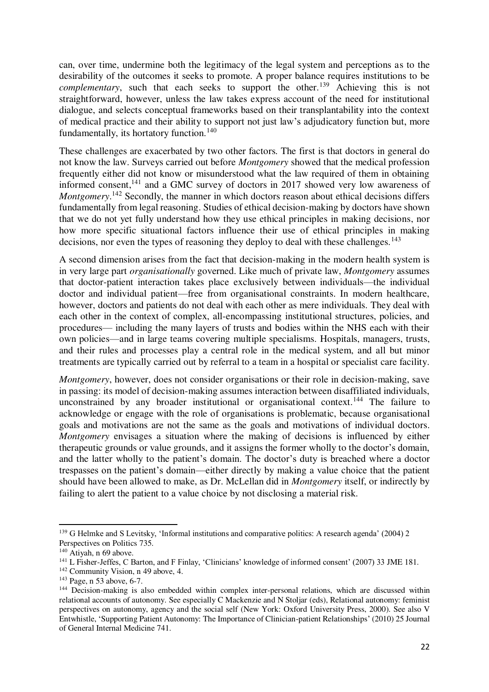<span id="page-22-0"></span>can, over time, undermine both the legitimacy of the legal system and perceptions as to the desirability of the outcomes it seeks to promote. A proper balance requires institutions to be *complementary*, such that each seeks to support the other.<sup>139</sup> Achieving this is not straightforward, however, unless the law takes express account of the need for institutional dialogue, and selects conceptual frameworks based on their transplantability into the context of medical practice and their ability to support not just law's adjudicatory function but, more fundamentally, its hortatory function.<sup>140</sup>

These challenges are exacerbated by two other factors. The first is that doctors in general do not know the law. Surveys carried out before *Montgomery* showed that the medical profession frequently either did not know or misunderstood what the law required of them in obtaining informed consent,<sup>141</sup> and a GMC survey of doctors in 2017 showed very low awareness of Montgomery.<sup>142</sup> Secondly, the manner in which doctors reason about ethical decisions differs fundamentally from legal reasoning. Studies of ethical decision-making by doctors have shown that we do not yet fully understand how they use ethical principles in making decisions, nor how more specific situational factors influence their use of ethical principles in making decisions, nor even the types of reasoning they deploy to deal with these challenges.<sup>143</sup>

A second dimension arises from the fact that decision-making in the modern health system is in very large part *organisationally* governed. Like much of private law, *Montgomery* assumes that doctor-patient interaction takes place exclusively between individuals—the individual doctor and individual patient—free from organisational constraints. In modern healthcare, however, doctors and patients do not deal with each other as mere individuals. They deal with each other in the context of complex, all-encompassing institutional structures, policies, and procedures— including the many layers of trusts and bodies within the NHS each with their own policies—and in large teams covering multiple specialisms. Hospitals, managers, trusts, and their rules and processes play a central role in the medical system, and all but minor treatments are typically carried out by referral to a team in a hospital or specialist care facility.

*Montgomery*, however, does not consider organisations or their role in decision-making, save in passing: its model of decision-making assumes interaction between disaffiliated individuals, unconstrained by any broader institutional or organisational context.<sup>144</sup> The failure to acknowledge or engage with the role of organisations is problematic, because organisational goals and motivations are not the same as the goals and motivations of individual doctors. *Montgomery* envisages a situation where the making of decisions is influenced by either therapeutic grounds or value grounds, and it assigns the former wholly to the doctor's domain, and the latter wholly to the patient's domain. The doctor's duty is breached where a doctor trespasses on the patient's domain—either directly by making a value choice that the patient should have been allowed to make, as Dr. McLellan did in *Montgomery* itself, or indirectly by failing to alert the patient to a value choice by not disclosing a material risk.

<sup>&</sup>lt;sup>139</sup> G Helmke and S Levitsky, 'Informal institutions and comparative politics: A research agenda' (2004) 2 Perspectives on Politics 735.

 $140$  Atiyah, n [69](#page-13-0) above.

<sup>&</sup>lt;sup>141</sup> L Fisher-Jeffes, C Barton, and F Finlay, 'Clinicians' knowledge of informed consent' (2007) 33 JME 181.

<sup>&</sup>lt;sup>142</sup> Community Vision, [n 49](#page-8-1) above, 4.

<sup>143</sup> Page, [n 53](#page-8-4) above, 6-7.

<sup>&</sup>lt;sup>144</sup> Decision-making is also embedded within complex inter-personal relations, which are discussed within relational accounts of autonomy. See especially C Mackenzie and N Stoljar (eds), Relational autonomy: feminist perspectives on autonomy, agency and the social self (New York: Oxford University Press, 2000). See also V Entwhistle, 'Supporting Patient Autonomy: The Importance of Clinician-patient Relationships' (2010) 25 Journal of General Internal Medicine 741.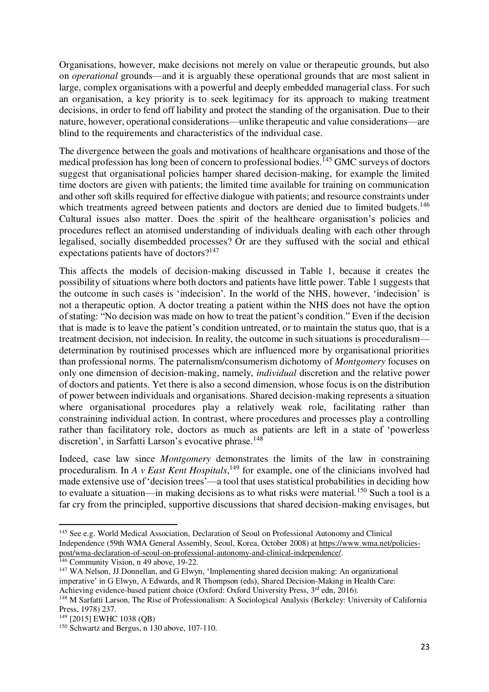Organisations, however, make decisions not merely on value or therapeutic grounds, but also on *operational* grounds—and it is arguably these operational grounds that are most salient in large, complex organisations with a powerful and deeply embedded managerial class. For such an organisation, a key priority is to seek legitimacy for its approach to making treatment decisions, in order to fend off liability and protect the standing of the organisation. Due to their nature, however, operational considerations—unlike therapeutic and value considerations—are blind to the requirements and characteristics of the individual case.

The divergence between the goals and motivations of healthcare organisations and those of the medical profession has long been of concern to professional bodies.<sup>145</sup> GMC surveys of doctors suggest that organisational policies hamper shared decision-making, for example the limited time doctors are given with patients; the limited time available for training on communication and other soft skills required for effective dialogue with patients; and resource constraints under which treatments agreed between patients and doctors are denied due to limited budgets.<sup>146</sup> Cultural issues also matter. Does the spirit of the healthcare organisation's policies and procedures reflect an atomised understanding of individuals dealing with each other through legalised, socially disembedded processes? Or are they suffused with the social and ethical expectations patients have of doctors?<sup>147</sup>

This affects the models of decision-making discussed in Table 1, because it creates the possibility of situations where both doctors and patients have little power. Table 1 suggests that the outcome in such cases is 'indecision'. In the world of the NHS, however, 'indecision' is not a therapeutic option. A doctor treating a patient within the NHS does not have the option of stating: "No decision was made on how to treat the patient's condition." Even if the decision that is made is to leave the patient's condition untreated, or to maintain the status quo, that is a treatment decision, not indecision. In reality, the outcome in such situations is proceduralism determination by routinised processes which are influenced more by organisational priorities than professional norms. The paternalism/consumerism dichotomy of *Montgomery* focuses on only one dimension of decision-making, namely, *individual* discretion and the relative power of doctors and patients. Yet there is also a second dimension, whose focus is on the distribution of power between individuals and organisations. Shared decision-making represents a situation where organisational procedures play a relatively weak role, facilitating rather than constraining individual action. In contrast, where procedures and processes play a controlling rather than facilitatory role, doctors as much as patients are left in a state of 'powerless discretion', in Sarfatti Larson's evocative phrase.<sup>148</sup>

Indeed, case law since *Montgomery* demonstrates the limits of the law in constraining proceduralism. In *A v East Kent Hospitals*,<sup>149</sup> for example, one of the clinicians involved had made extensive use of 'decision trees'—a tool that uses statistical probabilities in deciding how to evaluate a situation—in making decisions as to what risks were material.<sup>150</sup> Such a tool is a far cry from the principled, supportive discussions that shared decision-making envisages, but

<sup>145</sup> See e.g. World Medical Association, Declaration of Seoul on Professional Autonomy and Clinical Independence (59th WMA General Assembly, Seoul, Korea, October 2008) at [https://www.wma.net/policies](about:blank)[post/wma-declaration-of-seoul-on-professional-autonomy-and-clinical-independence/.](about:blank)

<sup>&</sup>lt;sup>146</sup> Community Vision, [n 49](#page-8-1) above, 19-22.

<sup>&</sup>lt;sup>147</sup> WA Nelson, JJ Donnellan, and G Elwyn, 'Implementing shared decision making: An organizational imperative' in G Elwyn, A Edwards, and R Thompson (eds), Shared Decision-Making in Health Care: Achieving evidence-based patient choice (Oxford: Oxford University Press, 3<sup>rd</sup> edn, 2016).

<sup>148</sup> M Sarfatti Larson, The Rise of Professionalism: A Sociological Analysis (Berkeley: University of California Press, 1978) 237.

<sup>149</sup> [2015] EWHC 1038 (QB)

 $150$  Schwartz and Bergus, [n 130](#page-20-0) above, 107-110.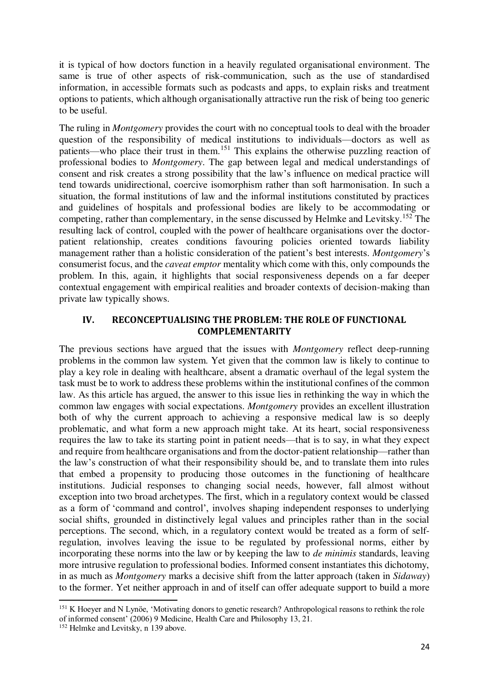it is typical of how doctors function in a heavily regulated organisational environment. The same is true of other aspects of risk-communication, such as the use of standardised information, in accessible formats such as podcasts and apps, to explain risks and treatment options to patients, which although organisationally attractive run the risk of being too generic to be useful.

The ruling in *Montgomery* provides the court with no conceptual tools to deal with the broader question of the responsibility of medical institutions to individuals—doctors as well as patients—who place their trust in them.<sup>151</sup> This explains the otherwise puzzling reaction of professional bodies to *Montgomery*. The gap between legal and medical understandings of consent and risk creates a strong possibility that the law's influence on medical practice will tend towards unidirectional, coercive isomorphism rather than soft harmonisation. In such a situation, the formal institutions of law and the informal institutions constituted by practices and guidelines of hospitals and professional bodies are likely to be accommodating or competing, rather than complementary, in the sense discussed by Helmke and Levitsky.<sup>152</sup> The resulting lack of control, coupled with the power of healthcare organisations over the doctorpatient relationship, creates conditions favouring policies oriented towards liability management rather than a holistic consideration of the patient's best interests. *Montgomery*'s consumerist focus, and the *caveat emptor* mentality which come with this, only compounds the problem. In this, again, it highlights that social responsiveness depends on a far deeper contextual engagement with empirical realities and broader contexts of decision-making than private law typically shows.

### **IV. RECONCEPTUALISING THE PROBLEM: THE ROLE OF FUNCTIONAL COMPLEMENTARITY**

The previous sections have argued that the issues with *Montgomery* reflect deep-running problems in the common law system. Yet given that the common law is likely to continue to play a key role in dealing with healthcare, absent a dramatic overhaul of the legal system the task must be to work to address these problems within the institutional confines of the common law. As this article has argued, the answer to this issue lies in rethinking the way in which the common law engages with social expectations. *Montgomery* provides an excellent illustration both of why the current approach to achieving a responsive medical law is so deeply problematic, and what form a new approach might take. At its heart, social responsiveness requires the law to take its starting point in patient needs—that is to say, in what they expect and require from healthcare organisations and from the doctor-patient relationship—rather than the law's construction of what their responsibility should be, and to translate them into rules that embed a propensity to producing those outcomes in the functioning of healthcare institutions. Judicial responses to changing social needs, however, fall almost without exception into two broad archetypes. The first, which in a regulatory context would be classed as a form of 'command and control', involves shaping independent responses to underlying social shifts, grounded in distinctively legal values and principles rather than in the social perceptions. The second, which, in a regulatory context would be treated as a form of selfregulation, involves leaving the issue to be regulated by professional norms, either by incorporating these norms into the law or by keeping the law to *de minimis* standards, leaving more intrusive regulation to professional bodies. Informed consent instantiates this dichotomy, in as much as *Montgomery* marks a decisive shift from the latter approach (taken in *Sidaway*) to the former. Yet neither approach in and of itself can offer adequate support to build a more

<sup>&</sup>lt;sup>151</sup> K Hoever and N Lynöe, 'Motivating donors to genetic research? Anthropological reasons to rethink the role of informed consent' (2006) 9 Medicine, Health Care and Philosophy 13, 21.

<sup>&</sup>lt;sup>152</sup> Helmke and Levitsky, n [139](#page-22-0) above.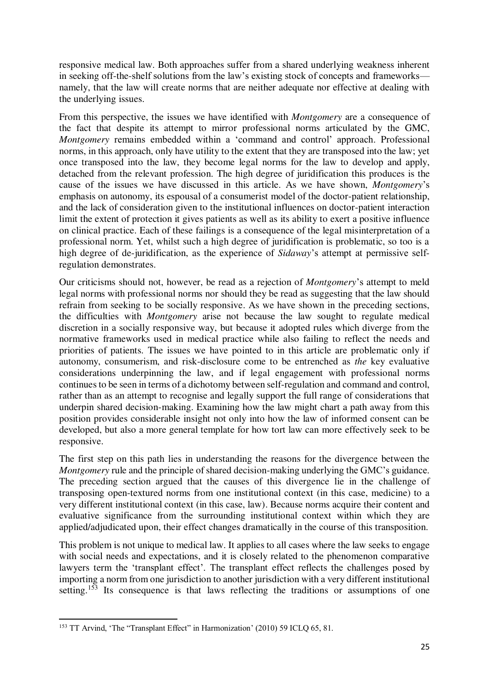responsive medical law. Both approaches suffer from a shared underlying weakness inherent in seeking off-the-shelf solutions from the law's existing stock of concepts and frameworks namely, that the law will create norms that are neither adequate nor effective at dealing with the underlying issues.

From this perspective, the issues we have identified with *Montgomery* are a consequence of the fact that despite its attempt to mirror professional norms articulated by the GMC, *Montgomery* remains embedded within a 'command and control' approach. Professional norms, in this approach, only have utility to the extent that they are transposed into the law; yet once transposed into the law, they become legal norms for the law to develop and apply, detached from the relevant profession. The high degree of juridification this produces is the cause of the issues we have discussed in this article. As we have shown, *Montgomery*'s emphasis on autonomy, its espousal of a consumerist model of the doctor-patient relationship, and the lack of consideration given to the institutional influences on doctor-patient interaction limit the extent of protection it gives patients as well as its ability to exert a positive influence on clinical practice. Each of these failings is a consequence of the legal misinterpretation of a professional norm. Yet, whilst such a high degree of juridification is problematic, so too is a high degree of de-juridification, as the experience of *Sidaway*'s attempt at permissive selfregulation demonstrates.

Our criticisms should not, however, be read as a rejection of *Montgomery*'s attempt to meld legal norms with professional norms nor should they be read as suggesting that the law should refrain from seeking to be socially responsive. As we have shown in the preceding sections, the difficulties with *Montgomery* arise not because the law sought to regulate medical discretion in a socially responsive way, but because it adopted rules which diverge from the normative frameworks used in medical practice while also failing to reflect the needs and priorities of patients. The issues we have pointed to in this article are problematic only if autonomy, consumerism, and risk-disclosure come to be entrenched as *the* key evaluative considerations underpinning the law, and if legal engagement with professional norms continues to be seen in terms of a dichotomy between self-regulation and command and control, rather than as an attempt to recognise and legally support the full range of considerations that underpin shared decision-making. Examining how the law might chart a path away from this position provides considerable insight not only into how the law of informed consent can be developed, but also a more general template for how tort law can more effectively seek to be responsive.

The first step on this path lies in understanding the reasons for the divergence between the *Montgomery* rule and the principle of shared decision-making underlying the GMC's guidance. The preceding section argued that the causes of this divergence lie in the challenge of transposing open-textured norms from one institutional context (in this case, medicine) to a very different institutional context (in this case, law). Because norms acquire their content and evaluative significance from the surrounding institutional context within which they are applied/adjudicated upon, their effect changes dramatically in the course of this transposition.

This problem is not unique to medical law. It applies to all cases where the law seeks to engage with social needs and expectations, and it is closely related to the phenomenon comparative lawyers term the 'transplant effect'. The transplant effect reflects the challenges posed by importing a norm from one jurisdiction to another jurisdiction with a very different institutional setting.<sup>153</sup> Its consequence is that laws reflecting the traditions or assumptions of one

<sup>&</sup>lt;sup>153</sup> TT Arvind, 'The "Transplant Effect" in Harmonization' (2010) 59 ICLO 65, 81.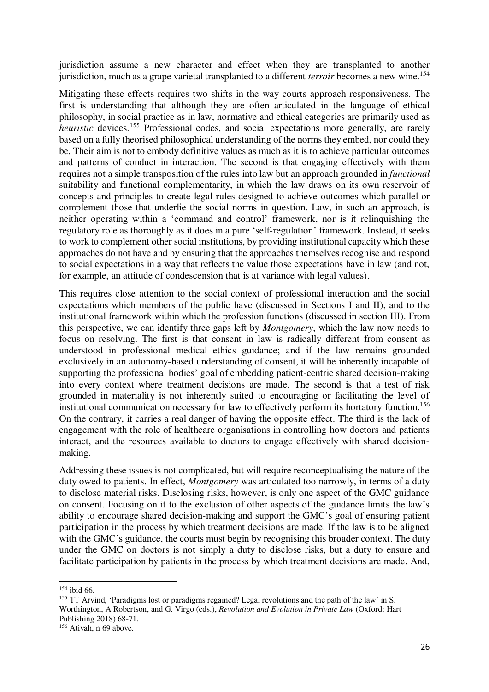jurisdiction assume a new character and effect when they are transplanted to another jurisdiction, much as a grape varietal transplanted to a different *terroir* becomes a new wine.<sup>154</sup>

Mitigating these effects requires two shifts in the way courts approach responsiveness. The first is understanding that although they are often articulated in the language of ethical philosophy, in social practice as in law, normative and ethical categories are primarily used as *heuristic* devices.<sup>155</sup> Professional codes, and social expectations more generally, are rarely based on a fully theorised philosophical understanding of the norms they embed, nor could they be. Their aim is not to embody definitive values as much as it is to achieve particular outcomes and patterns of conduct in interaction. The second is that engaging effectively with them requires not a simple transposition of the rules into law but an approach grounded in *functional* suitability and functional complementarity, in which the law draws on its own reservoir of concepts and principles to create legal rules designed to achieve outcomes which parallel or complement those that underlie the social norms in question. Law, in such an approach, is neither operating within a 'command and control' framework, nor is it relinquishing the regulatory role as thoroughly as it does in a pure 'self-regulation' framework. Instead, it seeks to work to complement other social institutions, by providing institutional capacity which these approaches do not have and by ensuring that the approaches themselves recognise and respond to social expectations in a way that reflects the value those expectations have in law (and not, for example, an attitude of condescension that is at variance with legal values).

This requires close attention to the social context of professional interaction and the social expectations which members of the public have (discussed in Sections I and II), and to the institutional framework within which the profession functions (discussed in section III). From this perspective, we can identify three gaps left by *Montgomery*, which the law now needs to focus on resolving. The first is that consent in law is radically different from consent as understood in professional medical ethics guidance; and if the law remains grounded exclusively in an autonomy-based understanding of consent, it will be inherently incapable of supporting the professional bodies' goal of embedding patient-centric shared decision-making into every context where treatment decisions are made. The second is that a test of risk grounded in materiality is not inherently suited to encouraging or facilitating the level of institutional communication necessary for law to effectively perform its hortatory function.<sup>156</sup> On the contrary, it carries a real danger of having the opposite effect. The third is the lack of engagement with the role of healthcare organisations in controlling how doctors and patients interact, and the resources available to doctors to engage effectively with shared decisionmaking.

Addressing these issues is not complicated, but will require reconceptualising the nature of the duty owed to patients. In effect, *Montgomery* was articulated too narrowly, in terms of a duty to disclose material risks. Disclosing risks, however, is only one aspect of the GMC guidance on consent. Focusing on it to the exclusion of other aspects of the guidance limits the law's ability to encourage shared decision-making and support the GMC's goal of ensuring patient participation in the process by which treatment decisions are made. If the law is to be aligned with the GMC's guidance, the courts must begin by recognising this broader context. The duty under the GMC on doctors is not simply a duty to disclose risks, but a duty to ensure and facilitate participation by patients in the process by which treatment decisions are made. And,

<sup>154</sup> ibid 66.

<sup>155</sup> TT Arvind, 'Paradigms lost or paradigms regained? Legal revolutions and the path of the law' in S. Worthington, A Robertson, and G. Virgo (eds.), *Revolution and Evolution in Private Law* (Oxford: Hart Publishing 2018) 68-71.

 $156$  Atiyah, n [69](#page-13-0) above.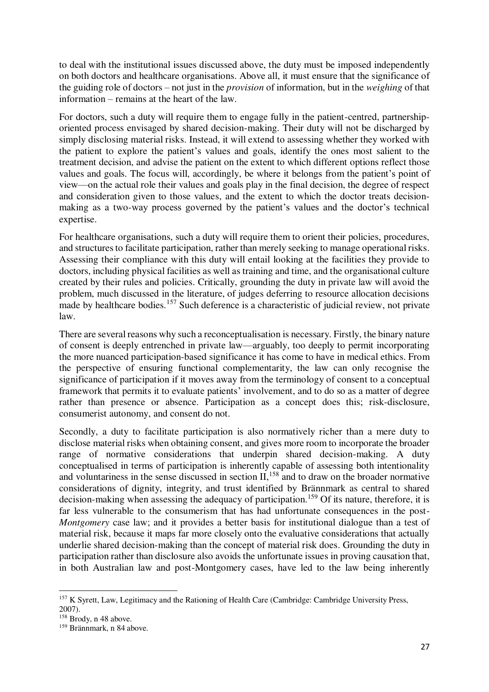to deal with the institutional issues discussed above, the duty must be imposed independently on both doctors and healthcare organisations. Above all, it must ensure that the significance of the guiding role of doctors – not just in the *provision* of information, but in the *weighing* of that information – remains at the heart of the law.

For doctors, such a duty will require them to engage fully in the patient-centred, partnershiporiented process envisaged by shared decision-making. Their duty will not be discharged by simply disclosing material risks. Instead, it will extend to assessing whether they worked with the patient to explore the patient's values and goals, identify the ones most salient to the treatment decision, and advise the patient on the extent to which different options reflect those values and goals. The focus will, accordingly, be where it belongs from the patient's point of view—on the actual role their values and goals play in the final decision, the degree of respect and consideration given to those values, and the extent to which the doctor treats decisionmaking as a two-way process governed by the patient's values and the doctor's technical expertise.

For healthcare organisations, such a duty will require them to orient their policies, procedures, and structures to facilitate participation, rather than merely seeking to manage operational risks. Assessing their compliance with this duty will entail looking at the facilities they provide to doctors, including physical facilities as well as training and time, and the organisational culture created by their rules and policies. Critically, grounding the duty in private law will avoid the problem, much discussed in the literature, of judges deferring to resource allocation decisions made by healthcare bodies.<sup>157</sup> Such deference is a characteristic of judicial review, not private law.

There are several reasons why such a reconceptualisation is necessary. Firstly, the binary nature of consent is deeply entrenched in private law—arguably, too deeply to permit incorporating the more nuanced participation-based significance it has come to have in medical ethics. From the perspective of ensuring functional complementarity, the law can only recognise the significance of participation if it moves away from the terminology of consent to a conceptual framework that permits it to evaluate patients' involvement, and to do so as a matter of degree rather than presence or absence. Participation as a concept does this; risk-disclosure, consumerist autonomy, and consent do not.

Secondly, a duty to facilitate participation is also normatively richer than a mere duty to disclose material risks when obtaining consent, and gives more room to incorporate the broader range of normative considerations that underpin shared decision-making. A duty conceptualised in terms of participation is inherently capable of assessing both intentionality and voluntariness in the sense discussed in section II, <sup>158</sup> and to draw on the broader normative considerations of dignity, integrity, and trust identified by Brännmark as central to shared decision-making when assessing the adequacy of participation.<sup>159</sup> Of its nature, therefore, it is far less vulnerable to the consumerism that has had unfortunate consequences in the post-*Montgomery* case law; and it provides a better basis for institutional dialogue than a test of material risk, because it maps far more closely onto the evaluative considerations that actually underlie shared decision-making than the concept of material risk does. Grounding the duty in participation rather than disclosure also avoids the unfortunate issues in proving causation that, in both Australian law and post-Montgomery cases, have led to the law being inherently

<sup>&</sup>lt;sup>157</sup> K Syrett, Law, Legitimacy and the Rationing of Health Care (Cambridge: Cambridge University Press, 2007).

<sup>158</sup> Brody, n [48](#page-8-3) above.

<sup>159</sup> Brännmark, [n 84](#page-15-0) above.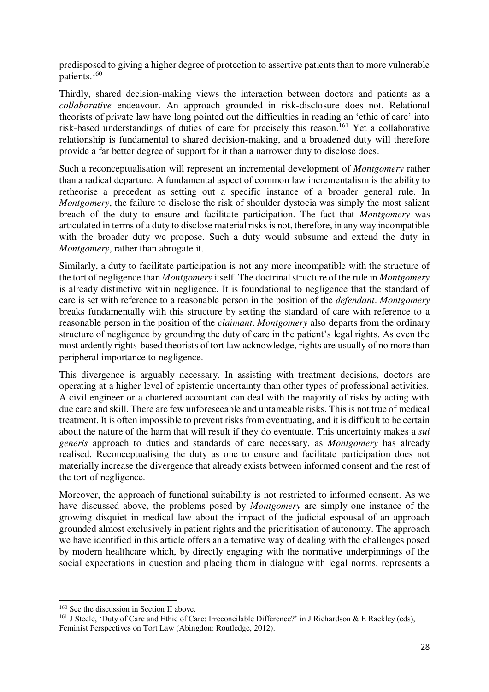predisposed to giving a higher degree of protection to assertive patients than to more vulnerable patients.<sup>160</sup>

Thirdly, shared decision-making views the interaction between doctors and patients as a *collaborative* endeavour. An approach grounded in risk-disclosure does not. Relational theorists of private law have long pointed out the difficulties in reading an 'ethic of care' into risk-based understandings of duties of care for precisely this reason.<sup>161</sup> Yet a collaborative relationship is fundamental to shared decision-making, and a broadened duty will therefore provide a far better degree of support for it than a narrower duty to disclose does.

Such a reconceptualisation will represent an incremental development of *Montgomery* rather than a radical departure. A fundamental aspect of common law incrementalism is the ability to retheorise a precedent as setting out a specific instance of a broader general rule. In *Montgomery*, the failure to disclose the risk of shoulder dystocia was simply the most salient breach of the duty to ensure and facilitate participation. The fact that *Montgomery* was articulated in terms of a duty to disclose material risks is not, therefore, in any way incompatible with the broader duty we propose. Such a duty would subsume and extend the duty in *Montgomery*, rather than abrogate it.

Similarly, a duty to facilitate participation is not any more incompatible with the structure of the tort of negligence than *Montgomery* itself. The doctrinal structure of the rule in *Montgomery* is already distinctive within negligence. It is foundational to negligence that the standard of care is set with reference to a reasonable person in the position of the *defendant*. *Montgomery* breaks fundamentally with this structure by setting the standard of care with reference to a reasonable person in the position of the *claimant*. *Montgomery* also departs from the ordinary structure of negligence by grounding the duty of care in the patient's legal rights. As even the most ardently rights-based theorists of tort law acknowledge, rights are usually of no more than peripheral importance to negligence.

This divergence is arguably necessary. In assisting with treatment decisions, doctors are operating at a higher level of epistemic uncertainty than other types of professional activities. A civil engineer or a chartered accountant can deal with the majority of risks by acting with due care and skill. There are few unforeseeable and untameable risks. This is not true of medical treatment. It is often impossible to prevent risks from eventuating, and it is difficult to be certain about the nature of the harm that will result if they do eventuate. This uncertainty makes a *sui generis* approach to duties and standards of care necessary, as *Montgomery* has already realised. Reconceptualising the duty as one to ensure and facilitate participation does not materially increase the divergence that already exists between informed consent and the rest of the tort of negligence.

Moreover, the approach of functional suitability is not restricted to informed consent. As we have discussed above, the problems posed by *Montgomery* are simply one instance of the growing disquiet in medical law about the impact of the judicial espousal of an approach grounded almost exclusively in patient rights and the prioritisation of autonomy. The approach we have identified in this article offers an alternative way of dealing with the challenges posed by modern healthcare which, by directly engaging with the normative underpinnings of the social expectations in question and placing them in dialogue with legal norms, represents a

<sup>160</sup> See the discussion in Section II above.

<sup>161</sup> J Steele, 'Duty of Care and Ethic of Care: Irreconcilable Difference?' in J Richardson & E Rackley (eds), Feminist Perspectives on Tort Law (Abingdon: Routledge, 2012).